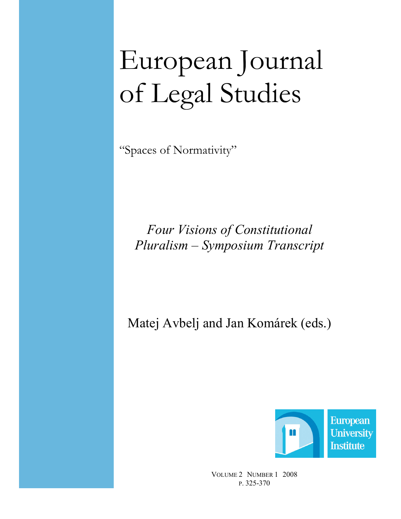# European Journal of Legal Studies

"Spaces of Normativity"

Four Visions of Constitutional Pluralism – Symposium Transcript

Matej Avbelj and Jan Komárek (eds.)



VOLUME 2 NUMBER 1 2008 P. 325-370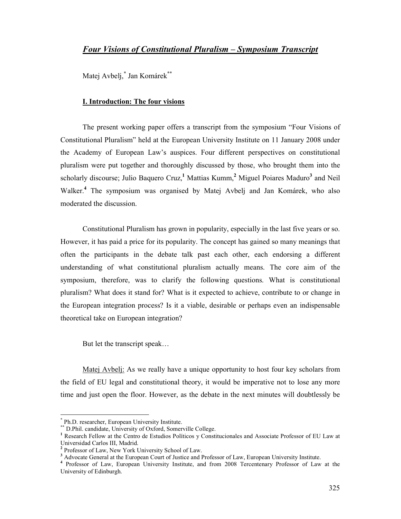# Four Visions of Constitutional Pluralism – Symposium Transcript

Matej Avbelj,\* Jan Komárek\*\*

## I. Introduction: The four visions

The present working paper offers a transcript from the symposium "Four Visions of Constitutional Pluralism" held at the European University Institute on 11 January 2008 under the Academy of European Law's auspices. Four different perspectives on constitutional pluralism were put together and thoroughly discussed by those, who brought them into the scholarly discourse; Julio Baquero Cruz,<sup>1</sup> Mattias Kumm,<sup>2</sup> Miguel Poiares Maduro<sup>3</sup> and Neil Walker.<sup>4</sup> The symposium was organised by Matej Avbelj and Jan Komárek, who also moderated the discussion.

Constitutional Pluralism has grown in popularity, especially in the last five years or so. However, it has paid a price for its popularity. The concept has gained so many meanings that often the participants in the debate talk past each other, each endorsing a different understanding of what constitutional pluralism actually means. The core aim of the symposium, therefore, was to clarify the following questions. What is constitutional pluralism? What does it stand for? What is it expected to achieve, contribute to or change in the European integration process? Is it a viable, desirable or perhaps even an indispensable theoretical take on European integration?

But let the transcript speak…

Matej Avbelj: As we really have a unique opportunity to host four key scholars from the field of EU legal and constitutional theory, it would be imperative not to lose any more time and just open the floor. However, as the debate in the next minutes will doubtlessly be

 \* Ph.D. researcher, European University Institute.

<sup>\*\*</sup> D.Phil. candidate, University of Oxford, Somerville College.

<sup>1</sup> Research Fellow at the Centro de Estudios Políticos y Constitucionales and Associate Professor of EU Law at Universidad Carlos III, Madrid.

<sup>2</sup> Professor of Law, New York University School of Law.

<sup>&</sup>lt;sup>3</sup> Advocate General at the European Court of Justice and Professor of Law, European University Institute.

<sup>4</sup> Professor of Law, European University Institute, and from 2008 Tercentenary Professor of Law at the University of Edinburgh.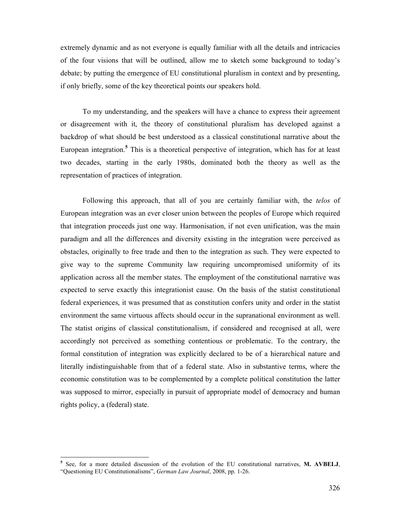extremely dynamic and as not everyone is equally familiar with all the details and intricacies of the four visions that will be outlined, allow me to sketch some background to today's debate; by putting the emergence of EU constitutional pluralism in context and by presenting, if only briefly, some of the key theoretical points our speakers hold.

To my understanding, and the speakers will have a chance to express their agreement or disagreement with it, the theory of constitutional pluralism has developed against a backdrop of what should be best understood as a classical constitutional narrative about the European integration.<sup>5</sup> This is a theoretical perspective of integration, which has for at least two decades, starting in the early 1980s, dominated both the theory as well as the representation of practices of integration.

Following this approach, that all of you are certainly familiar with, the telos of European integration was an ever closer union between the peoples of Europe which required that integration proceeds just one way. Harmonisation, if not even unification, was the main paradigm and all the differences and diversity existing in the integration were perceived as obstacles, originally to free trade and then to the integration as such. They were expected to give way to the supreme Community law requiring uncompromised uniformity of its application across all the member states. The employment of the constitutional narrative was expected to serve exactly this integrationist cause. On the basis of the statist constitutional federal experiences, it was presumed that as constitution confers unity and order in the statist environment the same virtuous affects should occur in the supranational environment as well. The statist origins of classical constitutionalism, if considered and recognised at all, were accordingly not perceived as something contentious or problematic. To the contrary, the formal constitution of integration was explicitly declared to be of a hierarchical nature and literally indistinguishable from that of a federal state. Also in substantive terms, where the economic constitution was to be complemented by a complete political constitution the latter was supposed to mirror, especially in pursuit of appropriate model of democracy and human rights policy, a (federal) state.

 $\overline{a}$ 

<sup>5</sup> See, for a more detailed discussion of the evolution of the EU constitutional narratives, M. AVBELJ, "Questioning EU Constitutionalisms", German Law Journal, 2008, pp. 1-26.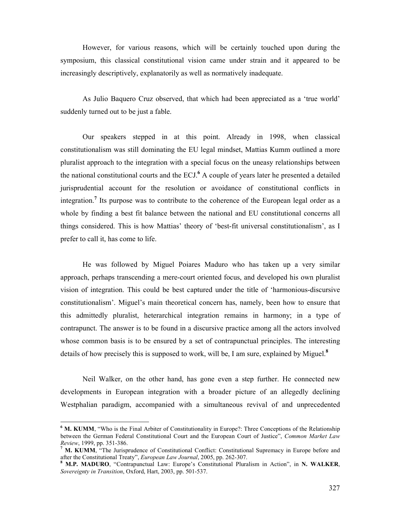However, for various reasons, which will be certainly touched upon during the symposium, this classical constitutional vision came under strain and it appeared to be increasingly descriptively, explanatorily as well as normatively inadequate.

As Julio Baquero Cruz observed, that which had been appreciated as a 'true world' suddenly turned out to be just a fable.

Our speakers stepped in at this point. Already in 1998, when classical constitutionalism was still dominating the EU legal mindset, Mattias Kumm outlined a more pluralist approach to the integration with a special focus on the uneasy relationships between the national constitutional courts and the ECJ. $<sup>6</sup>$  A couple of years later he presented a detailed</sup> jurisprudential account for the resolution or avoidance of constitutional conflicts in integration.<sup>7</sup> Its purpose was to contribute to the coherence of the European legal order as a whole by finding a best fit balance between the national and EU constitutional concerns all things considered. This is how Mattias' theory of 'best-fit universal constitutionalism', as I prefer to call it, has come to life.

He was followed by Miguel Poiares Maduro who has taken up a very similar approach, perhaps transcending a mere-court oriented focus, and developed his own pluralist vision of integration. This could be best captured under the title of 'harmonious-discursive constitutionalism'. Miguel's main theoretical concern has, namely, been how to ensure that this admittedly pluralist, heterarchical integration remains in harmony; in a type of contrapunct. The answer is to be found in a discursive practice among all the actors involved whose common basis is to be ensured by a set of contrapunctual principles. The interesting details of how precisely this is supposed to work, will be, I am sure, explained by Miguel. $8$ 

Neil Walker, on the other hand, has gone even a step further. He connected new developments in European integration with a broader picture of an allegedly declining Westphalian paradigm, accompanied with a simultaneous revival of and unprecedented

 $\overline{a}$ 

<sup>&</sup>lt;sup>6</sup> M. KUMM, "Who is the Final Arbiter of Constitutionality in Europe?: Three Conceptions of the Relationship between the German Federal Constitutional Court and the European Court of Justice", Common Market Law

Review, 1999, pp. 351-386.<br><sup>7</sup> M. KUMM, "The Jurisprudence of Constitutional Conflict: Constitutional Supremacy in Europe before and after the Constitutional Treaty", European Law Journal, 2005, pp. 262-307.

<sup>&</sup>lt;sup>8</sup> M.P. MADURO, "Contrapunctual Law: Europe's Constitutional Pluralism in Action", in N. WALKER, Sovereignty in Transition, Oxford, Hart, 2003, pp. 501-537.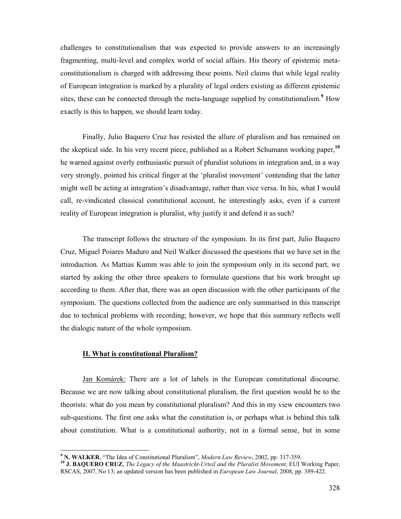challenges to constitutionalism that was expected to provide answers to an increasingly fragmenting, multi-level and complex world of social affairs. His theory of epistemic metaconstitutionalism is charged with addressing these points. Neil claims that while legal reality of European integration is marked by a plurality of legal orders existing as different epistemic sites, these can be connected through the meta-language supplied by constitutionalism.<sup>9</sup> How exactly is this to happen, we should learn today.

Finally, Julio Baquero Cruz has resisted the allure of pluralism and has remained on the skeptical side. In his very recent piece, published as a Robert Schumann working paper,  $10$ he warned against overly enthusiastic pursuit of pluralist solutions in integration and, in a way very strongly, pointed his critical finger at the 'pluralist movement' contending that the latter might well be acting at integration's disadvantage, rather than vice versa. In his, what I would call, re-vindicated classical constitutional account, he interestingly asks, even if a current reality of European integration is pluralist, why justify it and defend it as such?

The transcript follows the structure of the symposium. In its first part, Julio Baquero Cruz, Miguel Poiares Maduro and Neil Walker discussed the questions that we have set in the introduction. As Mattias Kumm was able to join the symposium only in its second part, we started by asking the other three speakers to formulate questions that his work brought up according to them. After that, there was an open discussion with the other participants of the symposium. The questions collected from the audience are only summarised in this transcript due to technical problems with recording; however, we hope that this summary reflects well the dialogic nature of the whole symposium.

## II. What is constitutional Pluralism?

 $\overline{a}$ 

Jan Komárek: There are a lot of labels in the European constitutional discourse. Because we are now talking about constitutional pluralism, the first question would be to the theorists: what do you mean by constitutional pluralism? And this in my view encounters two sub-questions. The first one asks what the constitution is, or perhaps what is behind this talk about constitution. What is a constitutional authority, not in a formal sense, but in some

<sup>&</sup>lt;sup>9</sup> N. WALKER, "The Idea of Constitutional Pluralism", Modern Law Review, 2002, pp. 317-359.

 $10$  J. BAQUERO CRUZ, The Legacy of the Maastricht-Urteil and the Pluralist Movement, EUI Working Paper, RSCAS, 2007, No 13; an updated version has been published in European Law Journal, 2008, pp. 389-422.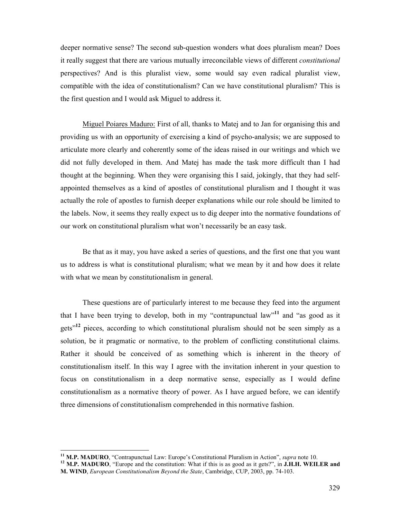deeper normative sense? The second sub-question wonders what does pluralism mean? Does it really suggest that there are various mutually irreconcilable views of different constitutional perspectives? And is this pluralist view, some would say even radical pluralist view, compatible with the idea of constitutionalism? Can we have constitutional pluralism? This is the first question and I would ask Miguel to address it.

Miguel Poiares Maduro: First of all, thanks to Matej and to Jan for organising this and providing us with an opportunity of exercising a kind of psycho-analysis; we are supposed to articulate more clearly and coherently some of the ideas raised in our writings and which we did not fully developed in them. And Matej has made the task more difficult than I had thought at the beginning. When they were organising this I said, jokingly, that they had selfappointed themselves as a kind of apostles of constitutional pluralism and I thought it was actually the role of apostles to furnish deeper explanations while our role should be limited to the labels. Now, it seems they really expect us to dig deeper into the normative foundations of our work on constitutional pluralism what won't necessarily be an easy task.

Be that as it may, you have asked a series of questions, and the first one that you want us to address is what is constitutional pluralism; what we mean by it and how does it relate with what we mean by constitutionalism in general.

These questions are of particularly interest to me because they feed into the argument that I have been trying to develop, both in my "contrapunctual law"<sup>11</sup> and "as good as it gets<sup>"12</sup> pieces, according to which constitutional pluralism should not be seen simply as a solution, be it pragmatic or normative, to the problem of conflicting constitutional claims. Rather it should be conceived of as something which is inherent in the theory of constitutionalism itself. In this way I agree with the invitation inherent in your question to focus on constitutionalism in a deep normative sense, especially as I would define constitutionalism as a normative theory of power. As I have argued before, we can identify three dimensions of constitutionalism comprehended in this normative fashion.

 $\overline{a}$ 

<sup>&</sup>lt;sup>11</sup> M.P. MADURO, "Contrapunctual Law: Europe's Constitutional Pluralism in Action", *supra* note 10.

<sup>&</sup>lt;sup>12</sup> M.P. MADURO, "Europe and the constitution: What if this is as good as it gets?", in J.H.H. WEILER and M. WIND, European Constitutionalism Beyond the State, Cambridge, CUP, 2003, pp. 74-103.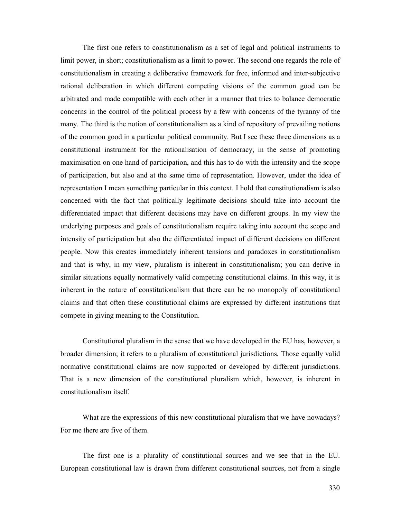The first one refers to constitutionalism as a set of legal and political instruments to limit power, in short; constitutionalism as a limit to power. The second one regards the role of constitutionalism in creating a deliberative framework for free, informed and inter-subjective rational deliberation in which different competing visions of the common good can be arbitrated and made compatible with each other in a manner that tries to balance democratic concerns in the control of the political process by a few with concerns of the tyranny of the many. The third is the notion of constitutionalism as a kind of repository of prevailing notions of the common good in a particular political community. But I see these three dimensions as a constitutional instrument for the rationalisation of democracy, in the sense of promoting maximisation on one hand of participation, and this has to do with the intensity and the scope of participation, but also and at the same time of representation. However, under the idea of representation I mean something particular in this context. I hold that constitutionalism is also concerned with the fact that politically legitimate decisions should take into account the differentiated impact that different decisions may have on different groups. In my view the underlying purposes and goals of constitutionalism require taking into account the scope and intensity of participation but also the differentiated impact of different decisions on different people. Now this creates immediately inherent tensions and paradoxes in constitutionalism and that is why, in my view, pluralism is inherent in constitutionalism; you can derive in similar situations equally normatively valid competing constitutional claims. In this way, it is inherent in the nature of constitutionalism that there can be no monopoly of constitutional claims and that often these constitutional claims are expressed by different institutions that compete in giving meaning to the Constitution.

Constitutional pluralism in the sense that we have developed in the EU has, however, a broader dimension; it refers to a pluralism of constitutional jurisdictions. Those equally valid normative constitutional claims are now supported or developed by different jurisdictions. That is a new dimension of the constitutional pluralism which, however, is inherent in constitutionalism itself.

What are the expressions of this new constitutional pluralism that we have nowadays? For me there are five of them.

The first one is a plurality of constitutional sources and we see that in the EU. European constitutional law is drawn from different constitutional sources, not from a single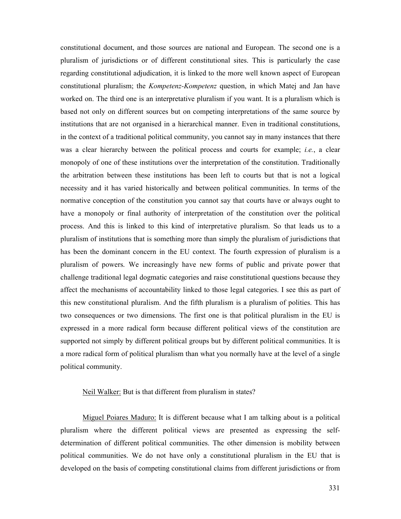constitutional document, and those sources are national and European. The second one is a pluralism of jurisdictions or of different constitutional sites. This is particularly the case regarding constitutional adjudication, it is linked to the more well known aspect of European constitutional pluralism; the *Kompetenz-Kompetenz* question, in which Matej and Jan have worked on. The third one is an interpretative pluralism if you want. It is a pluralism which is based not only on different sources but on competing interpretations of the same source by institutions that are not organised in a hierarchical manner. Even in traditional constitutions, in the context of a traditional political community, you cannot say in many instances that there was a clear hierarchy between the political process and courts for example; *i.e.*, a clear monopoly of one of these institutions over the interpretation of the constitution. Traditionally the arbitration between these institutions has been left to courts but that is not a logical necessity and it has varied historically and between political communities. In terms of the normative conception of the constitution you cannot say that courts have or always ought to have a monopoly or final authority of interpretation of the constitution over the political process. And this is linked to this kind of interpretative pluralism. So that leads us to a pluralism of institutions that is something more than simply the pluralism of jurisdictions that has been the dominant concern in the EU context. The fourth expression of pluralism is a pluralism of powers. We increasingly have new forms of public and private power that challenge traditional legal dogmatic categories and raise constitutional questions because they affect the mechanisms of accountability linked to those legal categories. I see this as part of this new constitutional pluralism. And the fifth pluralism is a pluralism of polities. This has two consequences or two dimensions. The first one is that political pluralism in the EU is expressed in a more radical form because different political views of the constitution are supported not simply by different political groups but by different political communities. It is a more radical form of political pluralism than what you normally have at the level of a single political community.

### Neil Walker: But is that different from pluralism in states?

Miguel Poiares Maduro: It is different because what I am talking about is a political pluralism where the different political views are presented as expressing the selfdetermination of different political communities. The other dimension is mobility between political communities. We do not have only a constitutional pluralism in the EU that is developed on the basis of competing constitutional claims from different jurisdictions or from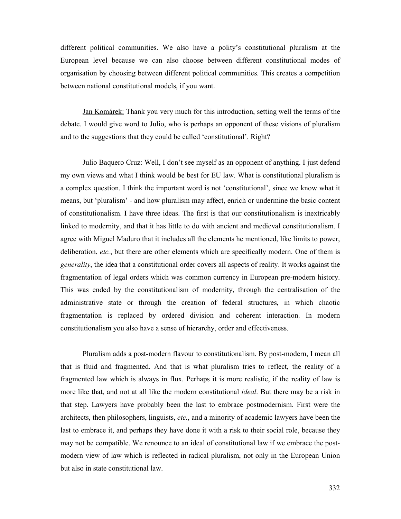different political communities. We also have a polity's constitutional pluralism at the European level because we can also choose between different constitutional modes of organisation by choosing between different political communities. This creates a competition between national constitutional models, if you want.

Jan Komárek: Thank you very much for this introduction, setting well the terms of the debate. I would give word to Julio, who is perhaps an opponent of these visions of pluralism and to the suggestions that they could be called 'constitutional'. Right?

Julio Baquero Cruz: Well, I don't see myself as an opponent of anything. I just defend my own views and what I think would be best for EU law. What is constitutional pluralism is a complex question. I think the important word is not 'constitutional', since we know what it means, but 'pluralism' - and how pluralism may affect, enrich or undermine the basic content of constitutionalism. I have three ideas. The first is that our constitutionalism is inextricably linked to modernity, and that it has little to do with ancient and medieval constitutionalism. I agree with Miguel Maduro that it includes all the elements he mentioned, like limits to power, deliberation, *etc.*, but there are other elements which are specifically modern. One of them is generality, the idea that a constitutional order covers all aspects of reality. It works against the fragmentation of legal orders which was common currency in European pre-modern history. This was ended by the constitutionalism of modernity, through the centralisation of the administrative state or through the creation of federal structures, in which chaotic fragmentation is replaced by ordered division and coherent interaction. In modern constitutionalism you also have a sense of hierarchy, order and effectiveness.

Pluralism adds a post-modern flavour to constitutionalism. By post-modern, I mean all that is fluid and fragmented. And that is what pluralism tries to reflect, the reality of a fragmented law which is always in flux. Perhaps it is more realistic, if the reality of law is more like that, and not at all like the modern constitutional *ideal*. But there may be a risk in that step. Lawyers have probably been the last to embrace postmodernism. First were the architects, then philosophers, linguists, etc., and a minority of academic lawyers have been the last to embrace it, and perhaps they have done it with a risk to their social role, because they may not be compatible. We renounce to an ideal of constitutional law if we embrace the postmodern view of law which is reflected in radical pluralism, not only in the European Union but also in state constitutional law.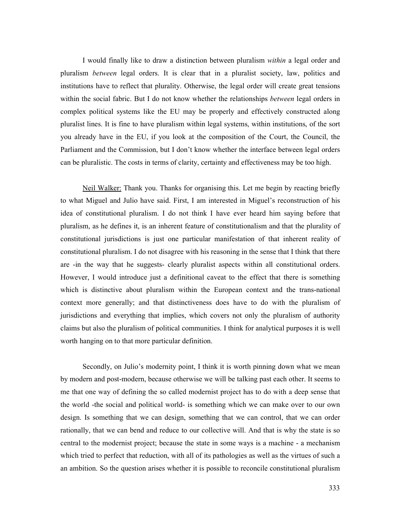I would finally like to draw a distinction between pluralism within a legal order and pluralism between legal orders. It is clear that in a pluralist society, law, politics and institutions have to reflect that plurality. Otherwise, the legal order will create great tensions within the social fabric. But I do not know whether the relationships *between* legal orders in complex political systems like the EU may be properly and effectively constructed along pluralist lines. It is fine to have pluralism within legal systems, within institutions, of the sort you already have in the EU, if you look at the composition of the Court, the Council, the Parliament and the Commission, but I don't know whether the interface between legal orders can be pluralistic. The costs in terms of clarity, certainty and effectiveness may be too high.

Neil Walker: Thank you. Thanks for organising this. Let me begin by reacting briefly to what Miguel and Julio have said. First, I am interested in Miguel's reconstruction of his idea of constitutional pluralism. I do not think I have ever heard him saying before that pluralism, as he defines it, is an inherent feature of constitutionalism and that the plurality of constitutional jurisdictions is just one particular manifestation of that inherent reality of constitutional pluralism. I do not disagree with his reasoning in the sense that I think that there are -in the way that he suggests- clearly pluralist aspects within all constitutional orders. However, I would introduce just a definitional caveat to the effect that there is something which is distinctive about pluralism within the European context and the trans-national context more generally; and that distinctiveness does have to do with the pluralism of jurisdictions and everything that implies, which covers not only the pluralism of authority claims but also the pluralism of political communities. I think for analytical purposes it is well worth hanging on to that more particular definition.

Secondly, on Julio's modernity point, I think it is worth pinning down what we mean by modern and post-modern, because otherwise we will be talking past each other. It seems to me that one way of defining the so called modernist project has to do with a deep sense that the world -the social and political world- is something which we can make over to our own design. Is something that we can design, something that we can control, that we can order rationally, that we can bend and reduce to our collective will. And that is why the state is so central to the modernist project; because the state in some ways is a machine - a mechanism which tried to perfect that reduction, with all of its pathologies as well as the virtues of such a an ambition. So the question arises whether it is possible to reconcile constitutional pluralism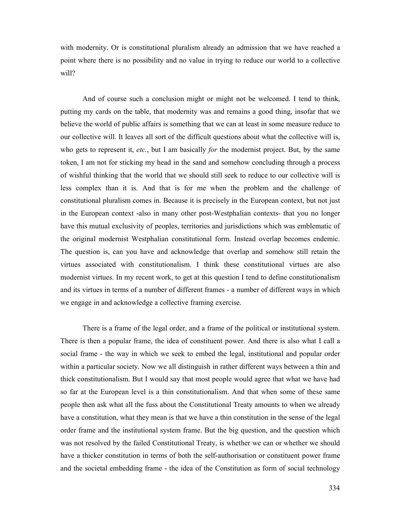with modernity. Or is constitutional pluralism already an admission that we have reached a point where there is no possibility and no value in trying to reduce our world to a collective will?

And of course such a conclusion might or might not be welcomed. I tend to think, putting my cards on the table, that modernity was and remains a good thing, insofar that we believe the world of public affairs is something that we can at least in some measure reduce to our collective will. It leaves all sort of the difficult questions about what the collective will is, who gets to represent it, *etc.*, but I am basically *for* the modernist project. But, by the same token, I am not for sticking my head in the sand and somehow concluding through a process of wishful thinking that the world that we should still seek to reduce to our collective will is less complex than it is. And that is for me when the problem and the challenge of constitutional pluralism comes in. Because it is precisely in the European context, but not just in the European context -also in many other post-Westphalian contexts- that you no longer have this mutual exclusivity of peoples, territories and jurisdictions which was emblematic of the original modernist Westphalian constitutional form. Instead overlap becomes endemic. The question is, can you have and acknowledge that overlap and somehow still retain the virtues associated with constitutionalism. I think these constitutional virtues are also modernist virtues. In my recent work, to get at this question I tend to define constitutionalism and its virtues in terms of a number of different frames - a number of different ways in which we engage in and acknowledge a collective framing exercise.

There is a frame of the legal order, and a frame of the political or institutional system. There is then a popular frame, the idea of constituent power. And there is also what I call a social frame - the way in which we seek to embed the legal, institutional and popular order within a particular society. Now we all distinguish in rather different ways between a thin and thick constitutionalism. But I would say that most people would agree that what we have had so far at the European level is a thin constitutionalism. And that when some of these same people then ask what all the fuss about the Constitutional Treaty amounts to when we already have a constitution, what they mean is that we have a thin constitution in the sense of the legal order frame and the institutional system frame. But the big question, and the question which was not resolved by the failed Constitutional Treaty, is whether we can or whether we should have a thicker constitution in terms of both the self-authorisation or constituent power frame and the societal embedding frame - the idea of the Constitution as form of social technology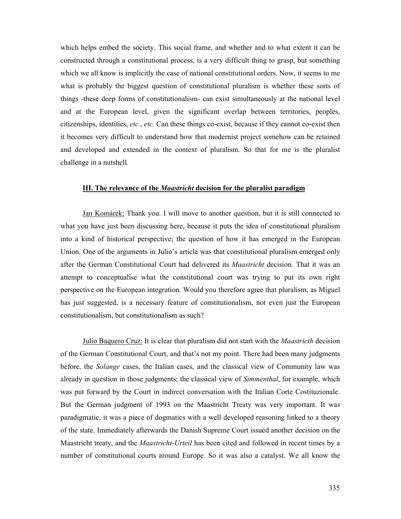which helps embed the society. This social frame, and whether and to what extent it can be constructed through a constitutional process, is a very difficult thing to grasp, but something which we all know is implicitly the case of national constitutional orders. Now, it seems to me what is probably the biggest question of constitutional pluralism is whether these sorts of things -these deep forms of constitutionalism- can exist simultaneously at the national level and at the European level, given the significant overlap between territories, peoples, citizenships, identities, etc., etc. Can these things co-exist, because if they cannot co-exist then it becomes very difficult to understand how that modernist project somehow can be retained and developed and extended in the context of pluralism. So that for me is the pluralist challenge in a nutshell.

#### III. The relevance of the Maastricht decision for the pluralist paradigm

Jan Komárek: Thank you. I will move to another question, but it is still connected to what you have just been discussing here, because it puts the idea of constitutional pluralism into a kind of historical perspective; the question of how it has emerged in the European Union. One of the arguments in Julio's article was that constitutional pluralism emerged only after the German Constitutional Court had delivered its Maastricht decision. That it was an attempt to conceptualise what the constitutional court was trying to put its own right perspective on the European integration. Would you therefore agree that pluralism, as Miguel has just suggested, is a necessary feature of constitutionalism, not even just the European constitutionalism, but constitutionalism as such?

Julio Baquero Cruz: It is clear that pluralism did not start with the *Maastricth* decision of the German Constitutional Court, and that's not my point. There had been many judgments before, the Solange cases, the Italian cases, and the classical view of Community law was already in question in those judgments; the classical view of Simmenthal, for example, which was put forward by the Court in indirect conversation with the Italian Corte Costituzionale. But the German judgment of 1993 on the Maastricht Treaty was very important. It was paradigmatic, it was a piece of dogmatics with a well developed reasoning linked to a theory of the state. Immediately afterwards the Danish Supreme Court issued another decision on the Maastricht treaty, and the Maastricht-Urteil has been cited and followed in recent times by a number of constitutional courts around Europe. So it was also a catalyst. We all know the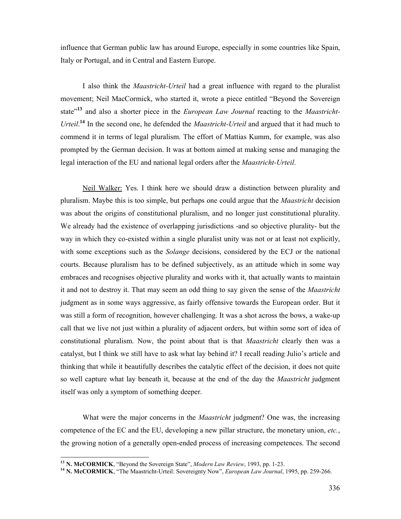influence that German public law has around Europe, especially in some countries like Spain, Italy or Portugal, and in Central and Eastern Europe.

I also think the Maastricht-Urteil had a great influence with regard to the pluralist movement; Neil MacCormick, who started it, wrote a piece entitled "Beyond the Sovereign state"<sup>13</sup> and also a shorter piece in the *European Law Journal* reacting to the *Maastricht*-Urteil.<sup>14</sup> In the second one, he defended the *Maastricht-Urteil* and argued that it had much to commend it in terms of legal pluralism. The effort of Mattias Kumm, for example, was also prompted by the German decision. It was at bottom aimed at making sense and managing the legal interaction of the EU and national legal orders after the Maastricht-Urteil.

Neil Walker: Yes. I think here we should draw a distinction between plurality and pluralism. Maybe this is too simple, but perhaps one could argue that the Maastricht decision was about the origins of constitutional pluralism, and no longer just constitutional plurality. We already had the existence of overlapping jurisdictions -and so objective plurality- but the way in which they co-existed within a single pluralist unity was not or at least not explicitly, with some exceptions such as the *Solange* decisions, considered by the ECJ or the national courts. Because pluralism has to be defined subjectively, as an attitude which in some way embraces and recognises objective plurality and works with it, that actually wants to maintain it and not to destroy it. That may seem an odd thing to say given the sense of the Maastricht judgment as in some ways aggressive, as fairly offensive towards the European order. But it was still a form of recognition, however challenging. It was a shot across the bows, a wake-up call that we live not just within a plurality of adjacent orders, but within some sort of idea of constitutional pluralism. Now, the point about that is that *Maastricht* clearly then was a catalyst, but I think we still have to ask what lay behind it? I recall reading Julio's article and thinking that while it beautifully describes the catalytic effect of the decision, it does not quite so well capture what lay beneath it, because at the end of the day the Maastricht judgment itself was only a symptom of something deeper.

What were the major concerns in the *Maastricht* judgment? One was, the increasing competence of the EC and the EU, developing a new pillar structure, the monetary union, etc., the growing notion of a generally open-ended process of increasing competences. The second

 $\overline{a}$ 

<sup>&</sup>lt;sup>13</sup> N. McCORMICK, "Beyond the Sovereign State", Modern Law Review, 1993, pp. 1-23.

<sup>&</sup>lt;sup>14</sup> N. McCORMICK, "The Maastricht-Urteil: Sovereignty Now", European Law Journal, 1995, pp. 259-266.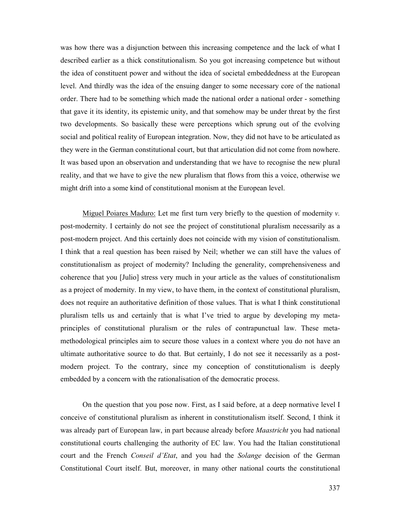was how there was a disjunction between this increasing competence and the lack of what I described earlier as a thick constitutionalism. So you got increasing competence but without the idea of constituent power and without the idea of societal embeddedness at the European level. And thirdly was the idea of the ensuing danger to some necessary core of the national order. There had to be something which made the national order a national order - something that gave it its identity, its epistemic unity, and that somehow may be under threat by the first two developments. So basically these were perceptions which sprung out of the evolving social and political reality of European integration. Now, they did not have to be articulated as they were in the German constitutional court, but that articulation did not come from nowhere. It was based upon an observation and understanding that we have to recognise the new plural reality, and that we have to give the new pluralism that flows from this a voice, otherwise we might drift into a some kind of constitutional monism at the European level.

Miguel Poiares Maduro: Let me first turn very briefly to the question of modernity v. post-modernity. I certainly do not see the project of constitutional pluralism necessarily as a post-modern project. And this certainly does not coincide with my vision of constitutionalism. I think that a real question has been raised by Neil; whether we can still have the values of constitutionalism as project of modernity? Including the generality, comprehensiveness and coherence that you [Julio] stress very much in your article as the values of constitutionalism as a project of modernity. In my view, to have them, in the context of constitutional pluralism, does not require an authoritative definition of those values. That is what I think constitutional pluralism tells us and certainly that is what I've tried to argue by developing my metaprinciples of constitutional pluralism or the rules of contrapunctual law. These metamethodological principles aim to secure those values in a context where you do not have an ultimate authoritative source to do that. But certainly, I do not see it necessarily as a postmodern project. To the contrary, since my conception of constitutionalism is deeply embedded by a concern with the rationalisation of the democratic process.

On the question that you pose now. First, as I said before, at a deep normative level I conceive of constitutional pluralism as inherent in constitutionalism itself. Second, I think it was already part of European law, in part because already before *Maastricht* you had national constitutional courts challenging the authority of EC law. You had the Italian constitutional court and the French Conseil d'Etat, and you had the Solange decision of the German Constitutional Court itself. But, moreover, in many other national courts the constitutional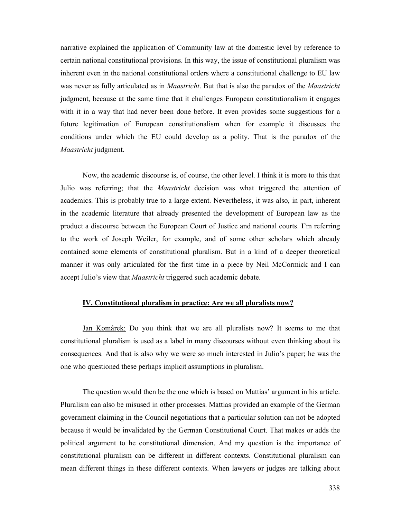narrative explained the application of Community law at the domestic level by reference to certain national constitutional provisions. In this way, the issue of constitutional pluralism was inherent even in the national constitutional orders where a constitutional challenge to EU law was never as fully articulated as in Maastricht. But that is also the paradox of the Maastricht judgment, because at the same time that it challenges European constitutionalism it engages with it in a way that had never been done before. It even provides some suggestions for a future legitimation of European constitutionalism when for example it discusses the conditions under which the EU could develop as a polity. That is the paradox of the Maastricht judgment.

Now, the academic discourse is, of course, the other level. I think it is more to this that Julio was referring; that the *Maastricht* decision was what triggered the attention of academics. This is probably true to a large extent. Nevertheless, it was also, in part, inherent in the academic literature that already presented the development of European law as the product a discourse between the European Court of Justice and national courts. I'm referring to the work of Joseph Weiler, for example, and of some other scholars which already contained some elements of constitutional pluralism. But in a kind of a deeper theoretical manner it was only articulated for the first time in a piece by Neil McCormick and I can accept Julio's view that Maastricht triggered such academic debate.

## IV. Constitutional pluralism in practice: Are we all pluralists now?

Jan Komárek: Do you think that we are all pluralists now? It seems to me that constitutional pluralism is used as a label in many discourses without even thinking about its consequences. And that is also why we were so much interested in Julio's paper; he was the one who questioned these perhaps implicit assumptions in pluralism.

The question would then be the one which is based on Mattias' argument in his article. Pluralism can also be misused in other processes. Mattias provided an example of the German government claiming in the Council negotiations that a particular solution can not be adopted because it would be invalidated by the German Constitutional Court. That makes or adds the political argument to he constitutional dimension. And my question is the importance of constitutional pluralism can be different in different contexts. Constitutional pluralism can mean different things in these different contexts. When lawyers or judges are talking about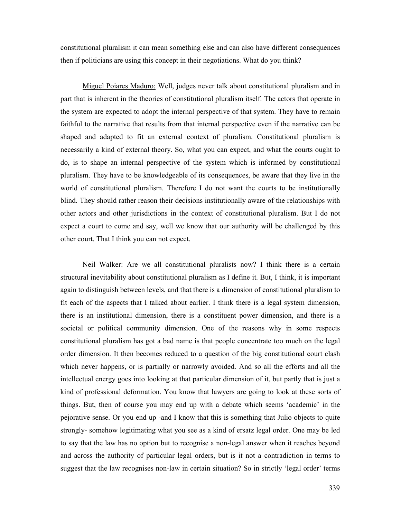constitutional pluralism it can mean something else and can also have different consequences then if politicians are using this concept in their negotiations. What do you think?

Miguel Poiares Maduro: Well, judges never talk about constitutional pluralism and in part that is inherent in the theories of constitutional pluralism itself. The actors that operate in the system are expected to adopt the internal perspective of that system. They have to remain faithful to the narrative that results from that internal perspective even if the narrative can be shaped and adapted to fit an external context of pluralism. Constitutional pluralism is necessarily a kind of external theory. So, what you can expect, and what the courts ought to do, is to shape an internal perspective of the system which is informed by constitutional pluralism. They have to be knowledgeable of its consequences, be aware that they live in the world of constitutional pluralism. Therefore I do not want the courts to be institutionally blind. They should rather reason their decisions institutionally aware of the relationships with other actors and other jurisdictions in the context of constitutional pluralism. But I do not expect a court to come and say, well we know that our authority will be challenged by this other court. That I think you can not expect.

Neil Walker: Are we all constitutional pluralists now? I think there is a certain structural inevitability about constitutional pluralism as I define it. But, I think, it is important again to distinguish between levels, and that there is a dimension of constitutional pluralism to fit each of the aspects that I talked about earlier. I think there is a legal system dimension, there is an institutional dimension, there is a constituent power dimension, and there is a societal or political community dimension. One of the reasons why in some respects constitutional pluralism has got a bad name is that people concentrate too much on the legal order dimension. It then becomes reduced to a question of the big constitutional court clash which never happens, or is partially or narrowly avoided. And so all the efforts and all the intellectual energy goes into looking at that particular dimension of it, but partly that is just a kind of professional deformation. You know that lawyers are going to look at these sorts of things. But, then of course you may end up with a debate which seems 'academic' in the pejorative sense. Or you end up -and I know that this is something that Julio objects to quite strongly- somehow legitimating what you see as a kind of ersatz legal order. One may be led to say that the law has no option but to recognise a non-legal answer when it reaches beyond and across the authority of particular legal orders, but is it not a contradiction in terms to suggest that the law recognises non-law in certain situation? So in strictly 'legal order' terms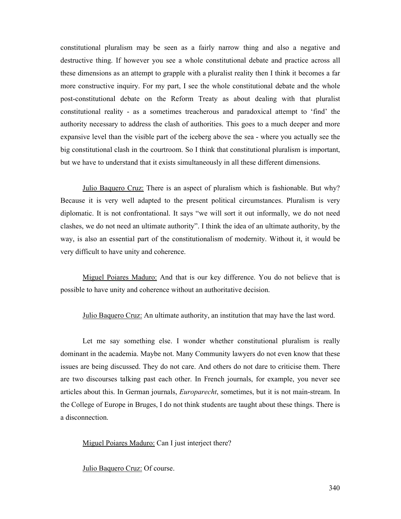constitutional pluralism may be seen as a fairly narrow thing and also a negative and destructive thing. If however you see a whole constitutional debate and practice across all these dimensions as an attempt to grapple with a pluralist reality then I think it becomes a far more constructive inquiry. For my part, I see the whole constitutional debate and the whole post-constitutional debate on the Reform Treaty as about dealing with that pluralist constitutional reality - as a sometimes treacherous and paradoxical attempt to 'find' the authority necessary to address the clash of authorities. This goes to a much deeper and more expansive level than the visible part of the iceberg above the sea - where you actually see the big constitutional clash in the courtroom. So I think that constitutional pluralism is important, but we have to understand that it exists simultaneously in all these different dimensions.

Julio Baquero Cruz: There is an aspect of pluralism which is fashionable. But why? Because it is very well adapted to the present political circumstances. Pluralism is very diplomatic. It is not confrontational. It says "we will sort it out informally, we do not need clashes, we do not need an ultimate authority". I think the idea of an ultimate authority, by the way, is also an essential part of the constitutionalism of modernity. Without it, it would be very difficult to have unity and coherence.

Miguel Poiares Maduro: And that is our key difference. You do not believe that is possible to have unity and coherence without an authoritative decision.

Julio Baquero Cruz: An ultimate authority, an institution that may have the last word.

Let me say something else. I wonder whether constitutional pluralism is really dominant in the academia. Maybe not. Many Community lawyers do not even know that these issues are being discussed. They do not care. And others do not dare to criticise them. There are two discourses talking past each other. In French journals, for example, you never see articles about this. In German journals, *Europarecht*, sometimes, but it is not main-stream. In the College of Europe in Bruges, I do not think students are taught about these things. There is a disconnection.

Miguel Poiares Maduro: Can I just interject there?

Julio Baquero Cruz: Of course.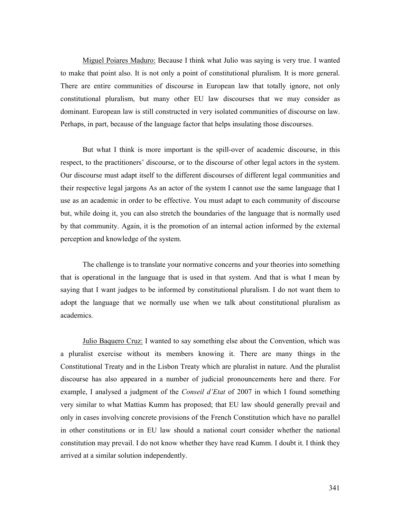Miguel Poiares Maduro: Because I think what Julio was saying is very true. I wanted to make that point also. It is not only a point of constitutional pluralism. It is more general. There are entire communities of discourse in European law that totally ignore, not only constitutional pluralism, but many other EU law discourses that we may consider as dominant. European law is still constructed in very isolated communities of discourse on law. Perhaps, in part, because of the language factor that helps insulating those discourses.

But what I think is more important is the spill-over of academic discourse, in this respect, to the practitioners' discourse, or to the discourse of other legal actors in the system. Our discourse must adapt itself to the different discourses of different legal communities and their respective legal jargons As an actor of the system I cannot use the same language that I use as an academic in order to be effective. You must adapt to each community of discourse but, while doing it, you can also stretch the boundaries of the language that is normally used by that community. Again, it is the promotion of an internal action informed by the external perception and knowledge of the system.

The challenge is to translate your normative concerns and your theories into something that is operational in the language that is used in that system. And that is what I mean by saying that I want judges to be informed by constitutional pluralism. I do not want them to adopt the language that we normally use when we talk about constitutional pluralism as academics.

Julio Baquero Cruz: I wanted to say something else about the Convention, which was a pluralist exercise without its members knowing it. There are many things in the Constitutional Treaty and in the Lisbon Treaty which are pluralist in nature. And the pluralist discourse has also appeared in a number of judicial pronouncements here and there. For example, I analysed a judgment of the *Conseil d'Etat* of 2007 in which I found something very similar to what Mattias Kumm has proposed; that EU law should generally prevail and only in cases involving concrete provisions of the French Constitution which have no parallel in other constitutions or in EU law should a national court consider whether the national constitution may prevail. I do not know whether they have read Kumm. I doubt it. I think they arrived at a similar solution independently.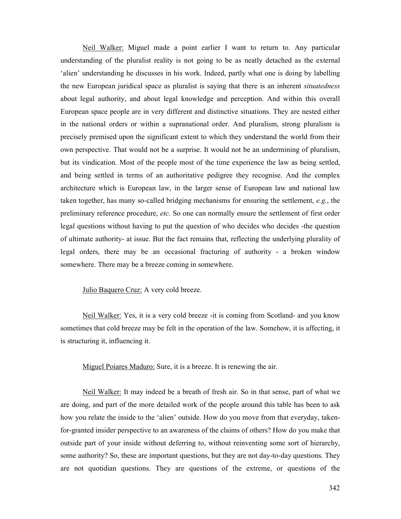Neil Walker: Miguel made a point earlier I want to return to. Any particular understanding of the pluralist reality is not going to be as neatly detached as the external 'alien' understanding he discusses in his work. Indeed, partly what one is doing by labelling the new European juridical space as pluralist is saying that there is an inherent situatedness about legal authority, and about legal knowledge and perception. And within this overall European space people are in very different and distinctive situations. They are nested either in the national orders or within a supranational order. And pluralism, strong pluralism is precisely premised upon the significant extent to which they understand the world from their own perspective. That would not be a surprise. It would not be an undermining of pluralism, but its vindication. Most of the people most of the time experience the law as being settled, and being settled in terms of an authoritative pedigree they recognise. And the complex architecture which is European law, in the larger sense of European law and national law taken together, has many so-called bridging mechanisms for ensuring the settlement, e.g., the preliminary reference procedure, etc. So one can normally ensure the settlement of first order legal questions without having to put the question of who decides who decides -the question of ultimate authority- at issue. But the fact remains that, reflecting the underlying plurality of legal orders, there may be an occasional fracturing of authority - a broken window somewhere. There may be a breeze coming in somewhere.

# Julio Baquero Cruz: A very cold breeze.

Neil Walker: Yes, it is a very cold breeze -it is coming from Scotland- and you know sometimes that cold breeze may be felt in the operation of the law. Somehow, it is affecting, it is structuring it, influencing it.

#### Miguel Poiares Maduro: Sure, it is a breeze. It is renewing the air.

Neil Walker: It may indeed be a breath of fresh air. So in that sense, part of what we are doing, and part of the more detailed work of the people around this table has been to ask how you relate the inside to the 'alien' outside. How do you move from that everyday, takenfor-granted insider perspective to an awareness of the claims of others? How do you make that outside part of your inside without deferring to, without reinventing some sort of hierarchy, some authority? So, these are important questions, but they are not day-to-day questions. They are not quotidian questions. They are questions of the extreme, or questions of the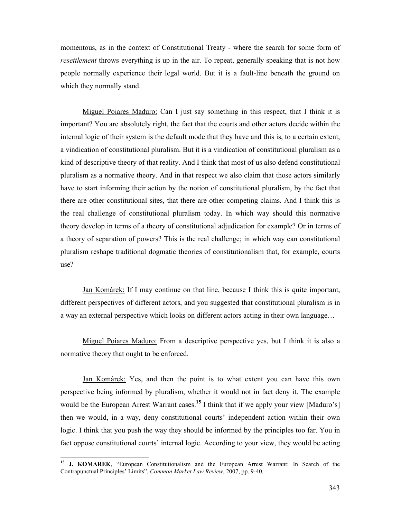momentous, as in the context of Constitutional Treaty - where the search for some form of resettlement throws everything is up in the air. To repeat, generally speaking that is not how people normally experience their legal world. But it is a fault-line beneath the ground on which they normally stand.

Miguel Poiares Maduro: Can I just say something in this respect, that I think it is important? You are absolutely right, the fact that the courts and other actors decide within the internal logic of their system is the default mode that they have and this is, to a certain extent, a vindication of constitutional pluralism. But it is a vindication of constitutional pluralism as a kind of descriptive theory of that reality. And I think that most of us also defend constitutional pluralism as a normative theory. And in that respect we also claim that those actors similarly have to start informing their action by the notion of constitutional pluralism, by the fact that there are other constitutional sites, that there are other competing claims. And I think this is the real challenge of constitutional pluralism today. In which way should this normative theory develop in terms of a theory of constitutional adjudication for example? Or in terms of a theory of separation of powers? This is the real challenge; in which way can constitutional pluralism reshape traditional dogmatic theories of constitutionalism that, for example, courts use?

Jan Komárek: If I may continue on that line, because I think this is quite important, different perspectives of different actors, and you suggested that constitutional pluralism is in a way an external perspective which looks on different actors acting in their own language…

Miguel Poiares Maduro: From a descriptive perspective yes, but I think it is also a normative theory that ought to be enforced.

Jan Komárek: Yes, and then the point is to what extent you can have this own perspective being informed by pluralism, whether it would not in fact deny it. The example would be the European Arrest Warrant cases.<sup>15</sup> I think that if we apply your view [Maduro's] then we would, in a way, deny constitutional courts' independent action within their own logic. I think that you push the way they should be informed by the principles too far. You in fact oppose constitutional courts' internal logic. According to your view, they would be acting

 $\overline{a}$ 

<sup>&</sup>lt;sup>15</sup> J. KOMAREK, "European Constitutionalism and the European Arrest Warrant: In Search of the Contrapunctual Principles' Limits", Common Market Law Review, 2007, pp. 9-40.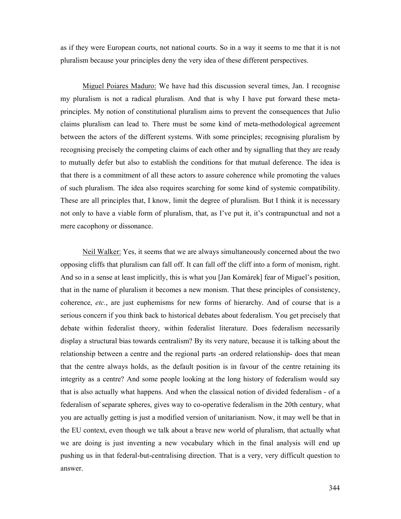as if they were European courts, not national courts. So in a way it seems to me that it is not pluralism because your principles deny the very idea of these different perspectives.

Miguel Poiares Maduro: We have had this discussion several times, Jan. I recognise my pluralism is not a radical pluralism. And that is why I have put forward these metaprinciples. My notion of constitutional pluralism aims to prevent the consequences that Julio claims pluralism can lead to. There must be some kind of meta-methodological agreement between the actors of the different systems. With some principles; recognising pluralism by recognising precisely the competing claims of each other and by signalling that they are ready to mutually defer but also to establish the conditions for that mutual deference. The idea is that there is a commitment of all these actors to assure coherence while promoting the values of such pluralism. The idea also requires searching for some kind of systemic compatibility. These are all principles that, I know, limit the degree of pluralism. But I think it is necessary not only to have a viable form of pluralism, that, as I've put it, it's contrapunctual and not a mere cacophony or dissonance.

Neil Walker: Yes, it seems that we are always simultaneously concerned about the two opposing cliffs that pluralism can fall off. It can fall off the cliff into a form of monism, right. And so in a sense at least implicitly, this is what you [Jan Komárek] fear of Miguel's position, that in the name of pluralism it becomes a new monism. That these principles of consistency, coherence, etc., are just euphemisms for new forms of hierarchy. And of course that is a serious concern if you think back to historical debates about federalism. You get precisely that debate within federalist theory, within federalist literature. Does federalism necessarily display a structural bias towards centralism? By its very nature, because it is talking about the relationship between a centre and the regional parts -an ordered relationship- does that mean that the centre always holds, as the default position is in favour of the centre retaining its integrity as a centre? And some people looking at the long history of federalism would say that is also actually what happens. And when the classical notion of divided federalism - of a federalism of separate spheres, gives way to co-operative federalism in the 20th century, what you are actually getting is just a modified version of unitarianism. Now, it may well be that in the EU context, even though we talk about a brave new world of pluralism, that actually what we are doing is just inventing a new vocabulary which in the final analysis will end up pushing us in that federal-but-centralising direction. That is a very, very difficult question to answer.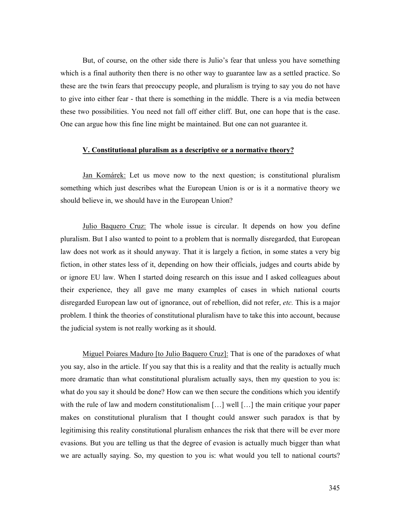But, of course, on the other side there is Julio's fear that unless you have something which is a final authority then there is no other way to guarantee law as a settled practice. So these are the twin fears that preoccupy people, and pluralism is trying to say you do not have to give into either fear - that there is something in the middle. There is a via media between these two possibilities. You need not fall off either cliff. But, one can hope that is the case. One can argue how this fine line might be maintained. But one can not guarantee it.

# V. Constitutional pluralism as a descriptive or a normative theory?

Jan Komárek: Let us move now to the next question; is constitutional pluralism something which just describes what the European Union is or is it a normative theory we should believe in, we should have in the European Union?

Julio Baquero Cruz: The whole issue is circular. It depends on how you define pluralism. But I also wanted to point to a problem that is normally disregarded, that European law does not work as it should anyway. That it is largely a fiction, in some states a very big fiction, in other states less of it, depending on how their officials, judges and courts abide by or ignore EU law. When I started doing research on this issue and I asked colleagues about their experience, they all gave me many examples of cases in which national courts disregarded European law out of ignorance, out of rebellion, did not refer, etc. This is a major problem. I think the theories of constitutional pluralism have to take this into account, because the judicial system is not really working as it should.

Miguel Poiares Maduro [to Julio Baquero Cruz]: That is one of the paradoxes of what you say, also in the article. If you say that this is a reality and that the reality is actually much more dramatic than what constitutional pluralism actually says, then my question to you is: what do you say it should be done? How can we then secure the conditions which you identify with the rule of law and modern constitutionalism [...] well [...] the main critique your paper makes on constitutional pluralism that I thought could answer such paradox is that by legitimising this reality constitutional pluralism enhances the risk that there will be ever more evasions. But you are telling us that the degree of evasion is actually much bigger than what we are actually saying. So, my question to you is: what would you tell to national courts?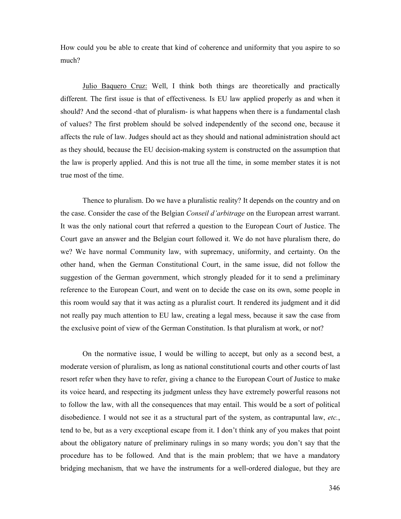How could you be able to create that kind of coherence and uniformity that you aspire to so much?

Julio Baquero Cruz: Well, I think both things are theoretically and practically different. The first issue is that of effectiveness. Is EU law applied properly as and when it should? And the second -that of pluralism- is what happens when there is a fundamental clash of values? The first problem should be solved independently of the second one, because it affects the rule of law. Judges should act as they should and national administration should act as they should, because the EU decision-making system is constructed on the assumption that the law is properly applied. And this is not true all the time, in some member states it is not true most of the time.

Thence to pluralism. Do we have a pluralistic reality? It depends on the country and on the case. Consider the case of the Belgian Conseil d'arbitrage on the European arrest warrant. It was the only national court that referred a question to the European Court of Justice. The Court gave an answer and the Belgian court followed it. We do not have pluralism there, do we? We have normal Community law, with supremacy, uniformity, and certainty. On the other hand, when the German Constitutional Court, in the same issue, did not follow the suggestion of the German government, which strongly pleaded for it to send a preliminary reference to the European Court, and went on to decide the case on its own, some people in this room would say that it was acting as a pluralist court. It rendered its judgment and it did not really pay much attention to EU law, creating a legal mess, because it saw the case from the exclusive point of view of the German Constitution. Is that pluralism at work, or not?

On the normative issue, I would be willing to accept, but only as a second best, a moderate version of pluralism, as long as national constitutional courts and other courts of last resort refer when they have to refer, giving a chance to the European Court of Justice to make its voice heard, and respecting its judgment unless they have extremely powerful reasons not to follow the law, with all the consequences that may entail. This would be a sort of political disobedience. I would not see it as a structural part of the system, as contrapuntal law, etc., tend to be, but as a very exceptional escape from it. I don't think any of you makes that point about the obligatory nature of preliminary rulings in so many words; you don't say that the procedure has to be followed. And that is the main problem; that we have a mandatory bridging mechanism, that we have the instruments for a well-ordered dialogue, but they are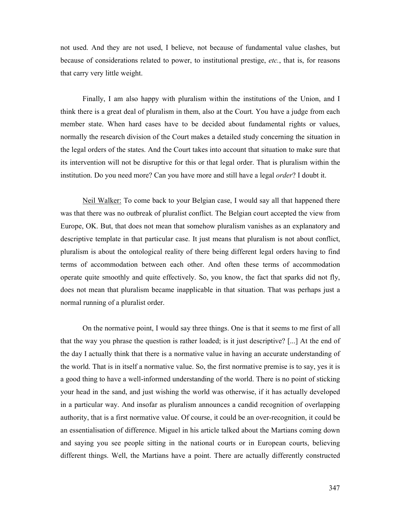not used. And they are not used, I believe, not because of fundamental value clashes, but because of considerations related to power, to institutional prestige, etc., that is, for reasons that carry very little weight.

Finally, I am also happy with pluralism within the institutions of the Union, and I think there is a great deal of pluralism in them, also at the Court. You have a judge from each member state. When hard cases have to be decided about fundamental rights or values, normally the research division of the Court makes a detailed study concerning the situation in the legal orders of the states. And the Court takes into account that situation to make sure that its intervention will not be disruptive for this or that legal order. That is pluralism within the institution. Do you need more? Can you have more and still have a legal order? I doubt it.

Neil Walker: To come back to your Belgian case, I would say all that happened there was that there was no outbreak of pluralist conflict. The Belgian court accepted the view from Europe, OK. But, that does not mean that somehow pluralism vanishes as an explanatory and descriptive template in that particular case. It just means that pluralism is not about conflict, pluralism is about the ontological reality of there being different legal orders having to find terms of accommodation between each other. And often these terms of accommodation operate quite smoothly and quite effectively. So, you know, the fact that sparks did not fly, does not mean that pluralism became inapplicable in that situation. That was perhaps just a normal running of a pluralist order.

On the normative point, I would say three things. One is that it seems to me first of all that the way you phrase the question is rather loaded; is it just descriptive? [...] At the end of the day I actually think that there is a normative value in having an accurate understanding of the world. That is in itself a normative value. So, the first normative premise is to say, yes it is a good thing to have a well-informed understanding of the world. There is no point of sticking your head in the sand, and just wishing the world was otherwise, if it has actually developed in a particular way. And insofar as pluralism announces a candid recognition of overlapping authority, that is a first normative value. Of course, it could be an over-recognition, it could be an essentialisation of difference. Miguel in his article talked about the Martians coming down and saying you see people sitting in the national courts or in European courts, believing different things. Well, the Martians have a point. There are actually differently constructed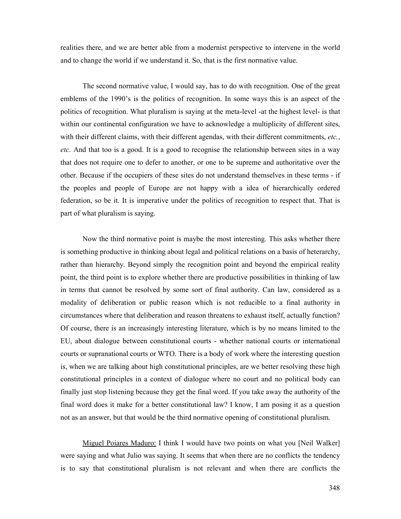realities there, and we are better able from a modernist perspective to intervene in the world and to change the world if we understand it. So, that is the first normative value.

The second normative value, I would say, has to do with recognition. One of the great emblems of the 1990's is the politics of recognition. In some ways this is an aspect of the politics of recognition. What pluralism is saying at the meta-level -at the highest level- is that within our continental configuration we have to acknowledge a multiplicity of different sites, with their different claims, with their different agendas, with their different commitments, etc., etc. And that too is a good. It is a good to recognise the relationship between sites in a way that does not require one to defer to another, or one to be supreme and authoritative over the other. Because if the occupiers of these sites do not understand themselves in these terms - if the peoples and people of Europe are not happy with a idea of hierarchically ordered federation, so be it. It is imperative under the politics of recognition to respect that. That is part of what pluralism is saying.

Now the third normative point is maybe the most interesting. This asks whether there is something productive in thinking about legal and political relations on a basis of heterarchy, rather than hierarchy. Beyond simply the recognition point and beyond the empirical reality point, the third point is to explore whether there are productive possibilities in thinking of law in terms that cannot be resolved by some sort of final authority. Can law, considered as a modality of deliberation or public reason which is not reducible to a final authority in circumstances where that deliberation and reason threatens to exhaust itself, actually function? Of course, there is an increasingly interesting literature, which is by no means limited to the EU, about dialogue between constitutional courts - whether national courts or international courts or supranational courts or WTO. There is a body of work where the interesting question is, when we are talking about high constitutional principles, are we better resolving these high constitutional principles in a context of dialogue where no court and no political body can finally just stop listening because they get the final word. If you take away the authority of the final word does it make for a better constitutional law? I know, I am posing it as a question not as an answer, but that would be the third normative opening of constitutional pluralism.

Miguel Poiares Maduro: I think I would have two points on what you [Neil Walker] were saying and what Julio was saying. It seems that when there are no conflicts the tendency is to say that constitutional pluralism is not relevant and when there are conflicts the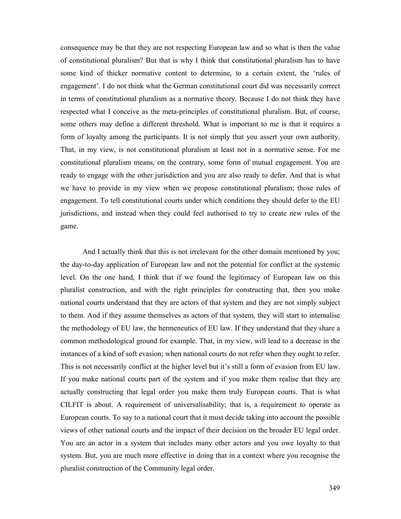consequence may be that they are not respecting European law and so what is then the value of constitutional pluralism? But that is why I think that constitutional pluralism has to have some kind of thicker normative content to determine, to a certain extent, the 'rules of engagement'. I do not think what the German constitutional court did was necessarily correct in terms of constitutional pluralism as a normative theory. Because I do not think they have respected what I conceive as the meta-principles of constitutional pluralism. But, of course, some others may define a different threshold. What is important to me is that it requires a form of loyalty among the participants. It is not simply that you assert your own authority. That, in my view, is not constitutional pluralism at least not in a normative sense. For me constitutional pluralism means, on the contrary, some form of mutual engagement. You are ready to engage with the other jurisdiction and you are also ready to defer. And that is what we have to provide in my view when we propose constitutional pluralism; those rules of engagement. To tell constitutional courts under which conditions they should defer to the EU jurisdictions, and instead when they could feel authorised to try to create new rules of the game.

And I actually think that this is not irrelevant for the other domain mentioned by you; the day-to-day application of European law and not the potential for conflict at the systemic level. On the one hand, I think that if we found the legitimacy of European law on this pluralist construction, and with the right principles for constructing that, then you make national courts understand that they are actors of that system and they are not simply subject to them. And if they assume themselves as actors of that system, they will start to internalise the methodology of EU law, the hermeneutics of EU law. If they understand that they share a common methodological ground for example. That, in my view, will lead to a decrease in the instances of a kind of soft evasion; when national courts do not refer when they ought to refer. This is not necessarily conflict at the higher level but it's still a form of evasion from EU law. If you make national courts part of the system and if you make them realise that they are actually constructing that legal order you make them truly European courts. That is what CILFIT is about. A requirement of universalisability; that is, a requirement to operate as European courts. To say to a national court that it must decide taking into account the possible views of other national courts and the impact of their decision on the broader EU legal order. You are an actor in a system that includes many other actors and you owe loyalty to that system. But, you are much more effective in doing that in a context where you recognise the pluralist construction of the Community legal order.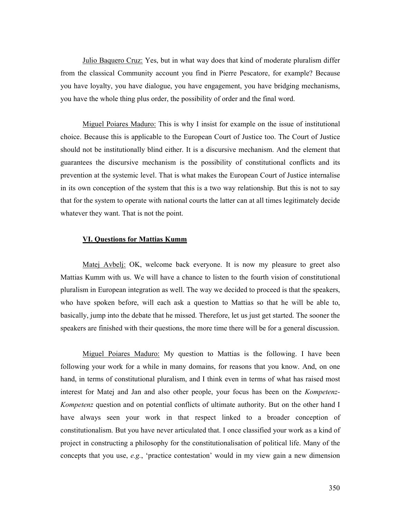Julio Baquero Cruz: Yes, but in what way does that kind of moderate pluralism differ from the classical Community account you find in Pierre Pescatore, for example? Because you have loyalty, you have dialogue, you have engagement, you have bridging mechanisms, you have the whole thing plus order, the possibility of order and the final word.

Miguel Poiares Maduro: This is why I insist for example on the issue of institutional choice. Because this is applicable to the European Court of Justice too. The Court of Justice should not be institutionally blind either. It is a discursive mechanism. And the element that guarantees the discursive mechanism is the possibility of constitutional conflicts and its prevention at the systemic level. That is what makes the European Court of Justice internalise in its own conception of the system that this is a two way relationship. But this is not to say that for the system to operate with national courts the latter can at all times legitimately decide whatever they want. That is not the point.

#### VI. Questions for Mattias Kumm

Matej Avbelj: OK, welcome back everyone. It is now my pleasure to greet also Mattias Kumm with us. We will have a chance to listen to the fourth vision of constitutional pluralism in European integration as well. The way we decided to proceed is that the speakers, who have spoken before, will each ask a question to Mattias so that he will be able to, basically, jump into the debate that he missed. Therefore, let us just get started. The sooner the speakers are finished with their questions, the more time there will be for a general discussion.

Miguel Poiares Maduro: My question to Mattias is the following. I have been following your work for a while in many domains, for reasons that you know. And, on one hand, in terms of constitutional pluralism, and I think even in terms of what has raised most interest for Matej and Jan and also other people, your focus has been on the Kompetenz-Kompetenz question and on potential conflicts of ultimate authority. But on the other hand I have always seen your work in that respect linked to a broader conception of constitutionalism. But you have never articulated that. I once classified your work as a kind of project in constructing a philosophy for the constitutionalisation of political life. Many of the concepts that you use, e.g., 'practice contestation' would in my view gain a new dimension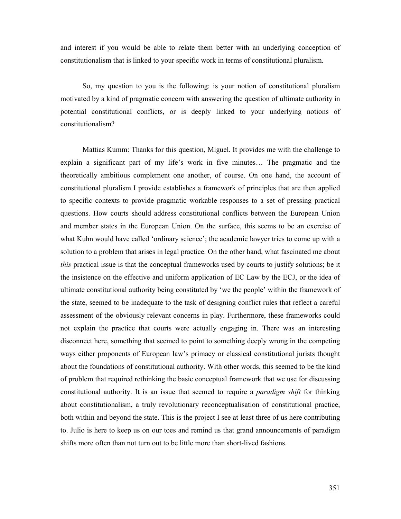and interest if you would be able to relate them better with an underlying conception of constitutionalism that is linked to your specific work in terms of constitutional pluralism.

So, my question to you is the following: is your notion of constitutional pluralism motivated by a kind of pragmatic concern with answering the question of ultimate authority in potential constitutional conflicts, or is deeply linked to your underlying notions of constitutionalism?

Mattias Kumm: Thanks for this question, Miguel. It provides me with the challenge to explain a significant part of my life's work in five minutes… The pragmatic and the theoretically ambitious complement one another, of course. On one hand, the account of constitutional pluralism I provide establishes a framework of principles that are then applied to specific contexts to provide pragmatic workable responses to a set of pressing practical questions. How courts should address constitutional conflicts between the European Union and member states in the European Union. On the surface, this seems to be an exercise of what Kuhn would have called 'ordinary science'; the academic lawyer tries to come up with a solution to a problem that arises in legal practice. On the other hand, what fascinated me about this practical issue is that the conceptual frameworks used by courts to justify solutions; be it the insistence on the effective and uniform application of EC Law by the ECJ, or the idea of ultimate constitutional authority being constituted by 'we the people' within the framework of the state, seemed to be inadequate to the task of designing conflict rules that reflect a careful assessment of the obviously relevant concerns in play. Furthermore, these frameworks could not explain the practice that courts were actually engaging in. There was an interesting disconnect here, something that seemed to point to something deeply wrong in the competing ways either proponents of European law's primacy or classical constitutional jurists thought about the foundations of constitutional authority. With other words, this seemed to be the kind of problem that required rethinking the basic conceptual framework that we use for discussing constitutional authority. It is an issue that seemed to require a *paradigm shift* for thinking about constitutionalism, a truly revolutionary reconceptualisation of constitutional practice, both within and beyond the state. This is the project I see at least three of us here contributing to. Julio is here to keep us on our toes and remind us that grand announcements of paradigm shifts more often than not turn out to be little more than short-lived fashions.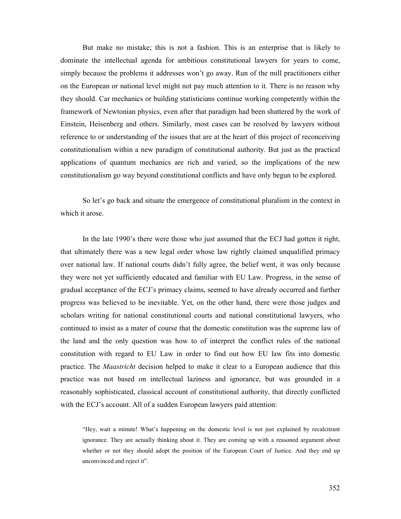But make no mistake; this is not a fashion. This is an enterprise that is likely to dominate the intellectual agenda for ambitious constitutional lawyers for years to come, simply because the problems it addresses won't go away. Run of the mill practitioners either on the European or national level might not pay much attention to it. There is no reason why they should. Car mechanics or building statisticians continue working competently within the framework of Newtonian physics, even after that paradigm had been shattered by the work of Einstein, Heisenberg and others. Similarly, most cases can be resolved by lawyers without reference to or understanding of the issues that are at the heart of this project of reconceiving constitutionalism within a new paradigm of constitutional authority. But just as the practical applications of quantum mechanics are rich and varied, so the implications of the new constitutionalism go way beyond constitutional conflicts and have only begun to be explored.

So let's go back and situate the emergence of constitutional pluralism in the context in which it arose.

In the late 1990's there were those who just assumed that the ECJ had gotten it right, that ultimately there was a new legal order whose law rightly claimed unqualified primacy over national law. If national courts didn't fully agree, the belief went, it was only because they were not yet sufficiently educated and familiar with EU Law. Progress, in the sense of gradual acceptance of the ECJ's primacy claims, seemed to have already occurred and further progress was believed to be inevitable. Yet, on the other hand, there were those judges and scholars writing for national constitutional courts and national constitutional lawyers, who continued to insist as a mater of course that the domestic constitution was the supreme law of the land and the only question was how to of interpret the conflict rules of the national constitution with regard to EU Law in order to find out how EU law fits into domestic practice. The Maastricht decision helped to make it clear to a European audience that this practice was not based on intellectual laziness and ignorance, but was grounded in a reasonably sophisticated, classical account of constitutional authority, that directly conflicted with the ECJ's account. All of a sudden European lawyers paid attention:

"Hey, wait a minute! What's happening on the domestic level is not just explained by recalcitrant ignorance. They are actually thinking about it. They are coming up with a reasoned argument about whether or not they should adopt the position of the European Court of Justice. And they end up unconvinced and reject it".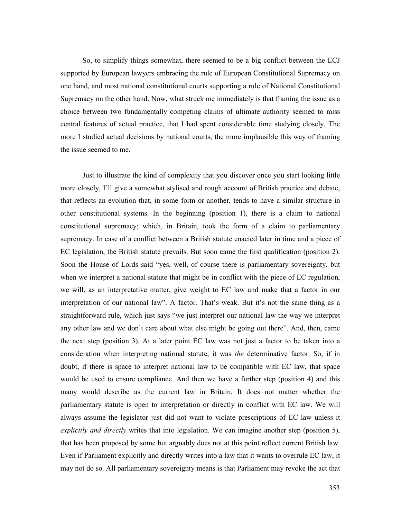So, to simplify things somewhat, there seemed to be a big conflict between the ECJ supported by European lawyers embracing the rule of European Constitutional Supremacy on one hand, and most national constitutional courts supporting a rule of National Constitutional Supremacy on the other hand. Now, what struck me immediately is that framing the issue as a choice between two fundamentally competing claims of ultimate authority seemed to miss central features of actual practice, that I had spent considerable time studying closely. The more I studied actual decisions by national courts, the more implausible this way of framing the issue seemed to me.

Just to illustrate the kind of complexity that you discover once you start looking little more closely, I'll give a somewhat stylised and rough account of British practice and debate, that reflects an evolution that, in some form or another, tends to have a similar structure in other constitutional systems. In the beginning (position 1), there is a claim to national constitutional supremacy; which, in Britain, took the form of a claim to parliamentary supremacy. In case of a conflict between a British statute enacted later in time and a piece of EC legislation, the British statute prevails. But soon came the first qualification (position 2). Soon the House of Lords said "yes, well, of course there is parliamentary sovereignty, but when we interpret a national statute that might be in conflict with the piece of EC regulation, we will, as an interpretative matter, give weight to EC law and make that a factor in our interpretation of our national law". A factor. That's weak. But it's not the same thing as a straightforward rule, which just says "we just interpret our national law the way we interpret any other law and we don't care about what else might be going out there". And, then, came the next step (position 3). At a later point EC law was not just a factor to be taken into a consideration when interpreting national statute, it was the determinative factor. So, if in doubt, if there is space to interpret national law to be compatible with EC law, that space would be used to ensure compliance. And then we have a further step (position 4) and this many would describe as the current law in Britain. It does not matter whether the parliamentary statute is open to interpretation or directly in conflict with EC law. We will always assume the legislator just did not want to violate prescriptions of EC law unless it explicitly and directly writes that into legislation. We can imagine another step (position 5), that has been proposed by some but arguably does not at this point reflect current British law. Even if Parliament explicitly and directly writes into a law that it wants to overrule EC law, it may not do so. All parliamentary sovereignty means is that Parliament may revoke the act that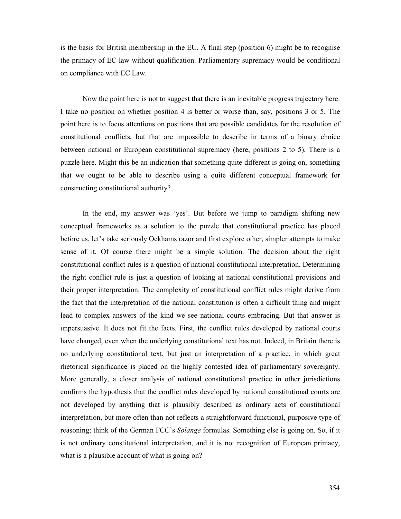is the basis for British membership in the EU. A final step (position 6) might be to recognise the primacy of EC law without qualification. Parliamentary supremacy would be conditional on compliance with EC Law.

Now the point here is not to suggest that there is an inevitable progress trajectory here. I take no position on whether position 4 is better or worse than, say, positions 3 or 5. The point here is to focus attentions on positions that are possible candidates for the resolution of constitutional conflicts, but that are impossible to describe in terms of a binary choice between national or European constitutional supremacy (here, positions 2 to 5). There is a puzzle here. Might this be an indication that something quite different is going on, something that we ought to be able to describe using a quite different conceptual framework for constructing constitutional authority?

In the end, my answer was 'yes'. But before we jump to paradigm shifting new conceptual frameworks as a solution to the puzzle that constitutional practice has placed before us, let's take seriously Ockhams razor and first explore other, simpler attempts to make sense of it. Of course there might be a simple solution. The decision about the right constitutional conflict rules is a question of national constitutional interpretation. Determining the right conflict rule is just a question of looking at national constitutional provisions and their proper interpretation. The complexity of constitutional conflict rules might derive from the fact that the interpretation of the national constitution is often a difficult thing and might lead to complex answers of the kind we see national courts embracing. But that answer is unpersuasive. It does not fit the facts. First, the conflict rules developed by national courts have changed, even when the underlying constitutional text has not. Indeed, in Britain there is no underlying constitutional text, but just an interpretation of a practice, in which great rhetorical significance is placed on the highly contested idea of parliamentary sovereignty. More generally, a closer analysis of national constitutional practice in other jurisdictions confirms the hypothesis that the conflict rules developed by national constitutional courts are not developed by anything that is plausibly described as ordinary acts of constitutional interpretation, but more often than not reflects a straightforward functional, purposive type of reasoning; think of the German FCC's *Solange* formulas. Something else is going on. So, if it is not ordinary constitutional interpretation, and it is not recognition of European primacy, what is a plausible account of what is going on?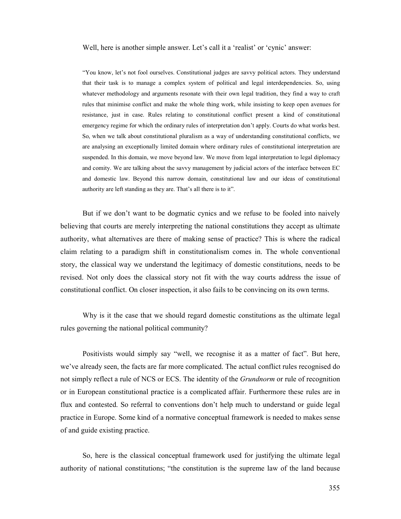Well, here is another simple answer. Let's call it a 'realist' or 'cynic' answer:

"You know, let's not fool ourselves. Constitutional judges are savvy political actors. They understand that their task is to manage a complex system of political and legal interdependencies. So, using whatever methodology and arguments resonate with their own legal tradition, they find a way to craft rules that minimise conflict and make the whole thing work, while insisting to keep open avenues for resistance, just in case. Rules relating to constitutional conflict present a kind of constitutional emergency regime for which the ordinary rules of interpretation don't apply. Courts do what works best. So, when we talk about constitutional pluralism as a way of understanding constitutional conflicts, we are analysing an exceptionally limited domain where ordinary rules of constitutional interpretation are suspended. In this domain, we move beyond law. We move from legal interpretation to legal diplomacy and comity. We are talking about the savvy management by judicial actors of the interface between EC and domestic law. Beyond this narrow domain, constitutional law and our ideas of constitutional authority are left standing as they are. That's all there is to it".

But if we don't want to be dogmatic cynics and we refuse to be fooled into naively believing that courts are merely interpreting the national constitutions they accept as ultimate authority, what alternatives are there of making sense of practice? This is where the radical claim relating to a paradigm shift in constitutionalism comes in. The whole conventional story, the classical way we understand the legitimacy of domestic constitutions, needs to be revised. Not only does the classical story not fit with the way courts address the issue of constitutional conflict. On closer inspection, it also fails to be convincing on its own terms.

Why is it the case that we should regard domestic constitutions as the ultimate legal rules governing the national political community?

Positivists would simply say "well, we recognise it as a matter of fact". But here, we've already seen, the facts are far more complicated. The actual conflict rules recognised do not simply reflect a rule of NCS or ECS. The identity of the *Grundnorm* or rule of recognition or in European constitutional practice is a complicated affair. Furthermore these rules are in flux and contested. So referral to conventions don't help much to understand or guide legal practice in Europe. Some kind of a normative conceptual framework is needed to makes sense of and guide existing practice.

So, here is the classical conceptual framework used for justifying the ultimate legal authority of national constitutions; "the constitution is the supreme law of the land because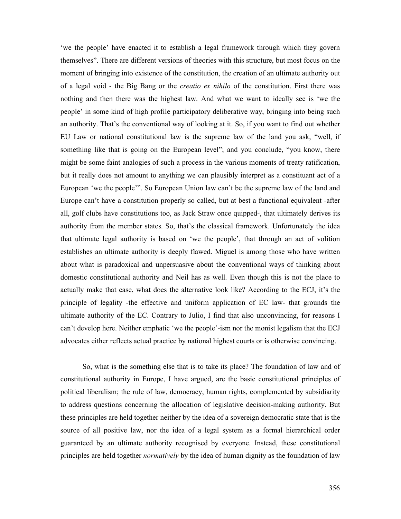'we the people' have enacted it to establish a legal framework through which they govern themselves". There are different versions of theories with this structure, but most focus on the moment of bringing into existence of the constitution, the creation of an ultimate authority out of a legal void - the Big Bang or the creatio ex nihilo of the constitution. First there was nothing and then there was the highest law. And what we want to ideally see is 'we the people' in some kind of high profile participatory deliberative way, bringing into being such an authority. That's the conventional way of looking at it. So, if you want to find out whether EU Law or national constitutional law is the supreme law of the land you ask, "well, if something like that is going on the European level"; and you conclude, "you know, there might be some faint analogies of such a process in the various moments of treaty ratification, but it really does not amount to anything we can plausibly interpret as a constituant act of a European 'we the people'". So European Union law can't be the supreme law of the land and Europe can't have a constitution properly so called, but at best a functional equivalent -after all, golf clubs have constitutions too, as Jack Straw once quipped-, that ultimately derives its authority from the member states. So, that's the classical framework. Unfortunately the idea that ultimate legal authority is based on 'we the people', that through an act of volition establishes an ultimate authority is deeply flawed. Miguel is among those who have written about what is paradoxical and unpersuasive about the conventional ways of thinking about domestic constitutional authority and Neil has as well. Even though this is not the place to actually make that case, what does the alternative look like? According to the ECJ, it's the principle of legality -the effective and uniform application of EC law- that grounds the ultimate authority of the EC. Contrary to Julio, I find that also unconvincing, for reasons I can't develop here. Neither emphatic 'we the people'-ism nor the monist legalism that the ECJ advocates either reflects actual practice by national highest courts or is otherwise convincing.

So, what is the something else that is to take its place? The foundation of law and of constitutional authority in Europe, I have argued, are the basic constitutional principles of political liberalism; the rule of law, democracy, human rights, complemented by subsidiarity to address questions concerning the allocation of legislative decision-making authority. But these principles are held together neither by the idea of a sovereign democratic state that is the source of all positive law, nor the idea of a legal system as a formal hierarchical order guaranteed by an ultimate authority recognised by everyone. Instead, these constitutional principles are held together normatively by the idea of human dignity as the foundation of law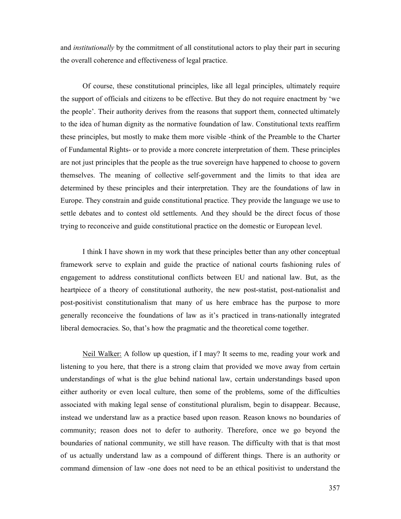and institutionally by the commitment of all constitutional actors to play their part in securing the overall coherence and effectiveness of legal practice.

Of course, these constitutional principles, like all legal principles, ultimately require the support of officials and citizens to be effective. But they do not require enactment by 'we the people'. Their authority derives from the reasons that support them, connected ultimately to the idea of human dignity as the normative foundation of law. Constitutional texts reaffirm these principles, but mostly to make them more visible -think of the Preamble to the Charter of Fundamental Rights- or to provide a more concrete interpretation of them. These principles are not just principles that the people as the true sovereign have happened to choose to govern themselves. The meaning of collective self-government and the limits to that idea are determined by these principles and their interpretation. They are the foundations of law in Europe. They constrain and guide constitutional practice. They provide the language we use to settle debates and to contest old settlements. And they should be the direct focus of those trying to reconceive and guide constitutional practice on the domestic or European level.

I think I have shown in my work that these principles better than any other conceptual framework serve to explain and guide the practice of national courts fashioning rules of engagement to address constitutional conflicts between EU and national law. But, as the heartpiece of a theory of constitutional authority, the new post-statist, post-nationalist and post-positivist constitutionalism that many of us here embrace has the purpose to more generally reconceive the foundations of law as it's practiced in trans-nationally integrated liberal democracies. So, that's how the pragmatic and the theoretical come together.

Neil Walker: A follow up question, if I may? It seems to me, reading your work and listening to you here, that there is a strong claim that provided we move away from certain understandings of what is the glue behind national law, certain understandings based upon either authority or even local culture, then some of the problems, some of the difficulties associated with making legal sense of constitutional pluralism, begin to disappear. Because, instead we understand law as a practice based upon reason. Reason knows no boundaries of community; reason does not to defer to authority. Therefore, once we go beyond the boundaries of national community, we still have reason. The difficulty with that is that most of us actually understand law as a compound of different things. There is an authority or command dimension of law -one does not need to be an ethical positivist to understand the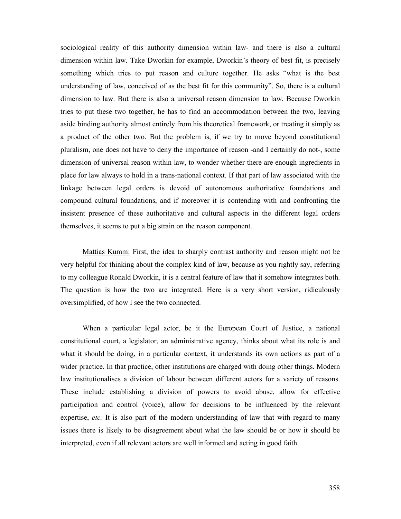sociological reality of this authority dimension within law- and there is also a cultural dimension within law. Take Dworkin for example, Dworkin's theory of best fit, is precisely something which tries to put reason and culture together. He asks "what is the best understanding of law, conceived of as the best fit for this community". So, there is a cultural dimension to law. But there is also a universal reason dimension to law. Because Dworkin tries to put these two together, he has to find an accommodation between the two, leaving aside binding authority almost entirely from his theoretical framework, or treating it simply as a product of the other two. But the problem is, if we try to move beyond constitutional pluralism, one does not have to deny the importance of reason -and I certainly do not-, some dimension of universal reason within law, to wonder whether there are enough ingredients in place for law always to hold in a trans-national context. If that part of law associated with the linkage between legal orders is devoid of autonomous authoritative foundations and compound cultural foundations, and if moreover it is contending with and confronting the insistent presence of these authoritative and cultural aspects in the different legal orders themselves, it seems to put a big strain on the reason component.

Mattias Kumm: First, the idea to sharply contrast authority and reason might not be very helpful for thinking about the complex kind of law, because as you rightly say, referring to my colleague Ronald Dworkin, it is a central feature of law that it somehow integrates both. The question is how the two are integrated. Here is a very short version, ridiculously oversimplified, of how I see the two connected.

When a particular legal actor, be it the European Court of Justice, a national constitutional court, a legislator, an administrative agency, thinks about what its role is and what it should be doing, in a particular context, it understands its own actions as part of a wider practice. In that practice, other institutions are charged with doing other things. Modern law institutionalises a division of labour between different actors for a variety of reasons. These include establishing a division of powers to avoid abuse, allow for effective participation and control (voice), allow for decisions to be influenced by the relevant expertise, *etc.* It is also part of the modern understanding of law that with regard to many issues there is likely to be disagreement about what the law should be or how it should be interpreted, even if all relevant actors are well informed and acting in good faith.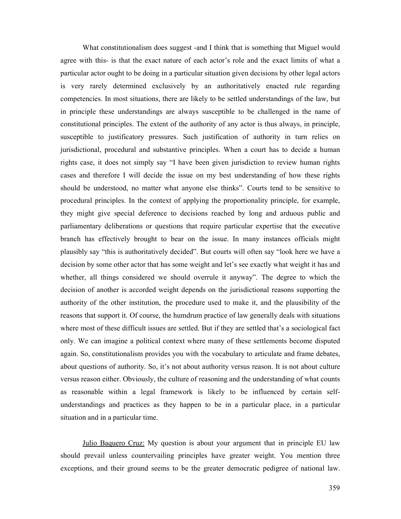What constitutionalism does suggest -and I think that is something that Miguel would agree with this- is that the exact nature of each actor's role and the exact limits of what a particular actor ought to be doing in a particular situation given decisions by other legal actors is very rarely determined exclusively by an authoritatively enacted rule regarding competencies. In most situations, there are likely to be settled understandings of the law, but in principle these understandings are always susceptible to be challenged in the name of constitutional principles. The extent of the authority of any actor is thus always, in principle, susceptible to justificatory pressures. Such justification of authority in turn relies on jurisdictional, procedural and substantive principles. When a court has to decide a human rights case, it does not simply say "I have been given jurisdiction to review human rights cases and therefore I will decide the issue on my best understanding of how these rights should be understood, no matter what anyone else thinks". Courts tend to be sensitive to procedural principles. In the context of applying the proportionality principle, for example, they might give special deference to decisions reached by long and arduous public and parliamentary deliberations or questions that require particular expertise that the executive branch has effectively brought to bear on the issue. In many instances officials might plausibly say "this is authoritatively decided". But courts will often say "look here we have a decision by some other actor that has some weight and let's see exactly what weight it has and whether, all things considered we should overrule it anyway". The degree to which the decision of another is accorded weight depends on the jurisdictional reasons supporting the authority of the other institution, the procedure used to make it, and the plausibility of the reasons that support it. Of course, the humdrum practice of law generally deals with situations where most of these difficult issues are settled. But if they are settled that's a sociological fact only. We can imagine a political context where many of these settlements become disputed again. So, constitutionalism provides you with the vocabulary to articulate and frame debates, about questions of authority. So, it's not about authority versus reason. It is not about culture versus reason either. Obviously, the culture of reasoning and the understanding of what counts as reasonable within a legal framework is likely to be influenced by certain selfunderstandings and practices as they happen to be in a particular place, in a particular situation and in a particular time.

Julio Baquero Cruz: My question is about your argument that in principle EU law should prevail unless countervailing principles have greater weight. You mention three exceptions, and their ground seems to be the greater democratic pedigree of national law.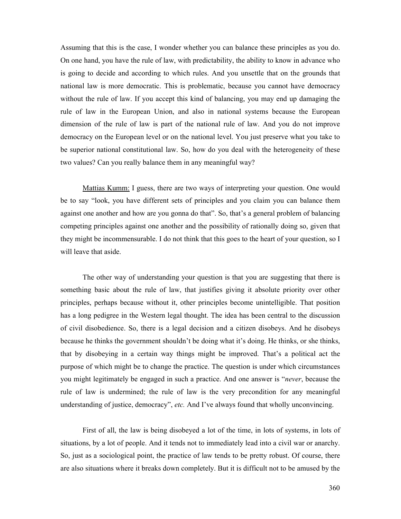Assuming that this is the case, I wonder whether you can balance these principles as you do. On one hand, you have the rule of law, with predictability, the ability to know in advance who is going to decide and according to which rules. And you unsettle that on the grounds that national law is more democratic. This is problematic, because you cannot have democracy without the rule of law. If you accept this kind of balancing, you may end up damaging the rule of law in the European Union, and also in national systems because the European dimension of the rule of law is part of the national rule of law. And you do not improve democracy on the European level or on the national level. You just preserve what you take to be superior national constitutional law. So, how do you deal with the heterogeneity of these two values? Can you really balance them in any meaningful way?

Mattias Kumm: I guess, there are two ways of interpreting your question. One would be to say "look, you have different sets of principles and you claim you can balance them against one another and how are you gonna do that". So, that's a general problem of balancing competing principles against one another and the possibility of rationally doing so, given that they might be incommensurable. I do not think that this goes to the heart of your question, so I will leave that aside.

The other way of understanding your question is that you are suggesting that there is something basic about the rule of law, that justifies giving it absolute priority over other principles, perhaps because without it, other principles become unintelligible. That position has a long pedigree in the Western legal thought. The idea has been central to the discussion of civil disobedience. So, there is a legal decision and a citizen disobeys. And he disobeys because he thinks the government shouldn't be doing what it's doing. He thinks, or she thinks, that by disobeying in a certain way things might be improved. That's a political act the purpose of which might be to change the practice. The question is under which circumstances you might legitimately be engaged in such a practice. And one answer is "never, because the rule of law is undermined; the rule of law is the very precondition for any meaningful understanding of justice, democracy", *etc.* And I've always found that wholly unconvincing.

First of all, the law is being disobeyed a lot of the time, in lots of systems, in lots of situations, by a lot of people. And it tends not to immediately lead into a civil war or anarchy. So, just as a sociological point, the practice of law tends to be pretty robust. Of course, there are also situations where it breaks down completely. But it is difficult not to be amused by the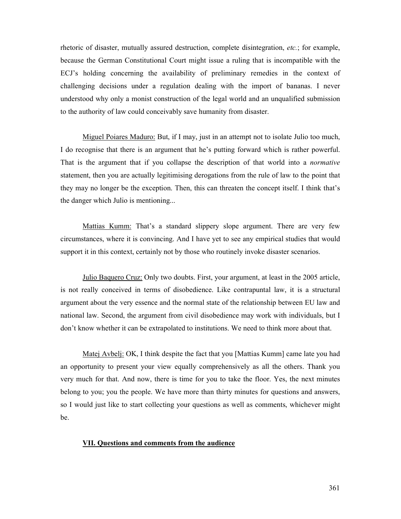rhetoric of disaster, mutually assured destruction, complete disintegration, etc.; for example, because the German Constitutional Court might issue a ruling that is incompatible with the ECJ's holding concerning the availability of preliminary remedies in the context of challenging decisions under a regulation dealing with the import of bananas. I never understood why only a monist construction of the legal world and an unqualified submission to the authority of law could conceivably save humanity from disaster.

Miguel Poiares Maduro: But, if I may, just in an attempt not to isolate Julio too much, I do recognise that there is an argument that he's putting forward which is rather powerful. That is the argument that if you collapse the description of that world into a normative statement, then you are actually legitimising derogations from the rule of law to the point that they may no longer be the exception. Then, this can threaten the concept itself. I think that's the danger which Julio is mentioning...

Mattias Kumm: That's a standard slippery slope argument. There are very few circumstances, where it is convincing. And I have yet to see any empirical studies that would support it in this context, certainly not by those who routinely invoke disaster scenarios.

Julio Baquero Cruz: Only two doubts. First, your argument, at least in the 2005 article, is not really conceived in terms of disobedience. Like contrapuntal law, it is a structural argument about the very essence and the normal state of the relationship between EU law and national law. Second, the argument from civil disobedience may work with individuals, but I don't know whether it can be extrapolated to institutions. We need to think more about that.

Matej Avbelj: OK, I think despite the fact that you [Mattias Kumm] came late you had an opportunity to present your view equally comprehensively as all the others. Thank you very much for that. And now, there is time for you to take the floor. Yes, the next minutes belong to you; you the people. We have more than thirty minutes for questions and answers, so I would just like to start collecting your questions as well as comments, whichever might be.

#### VII. Questions and comments from the audience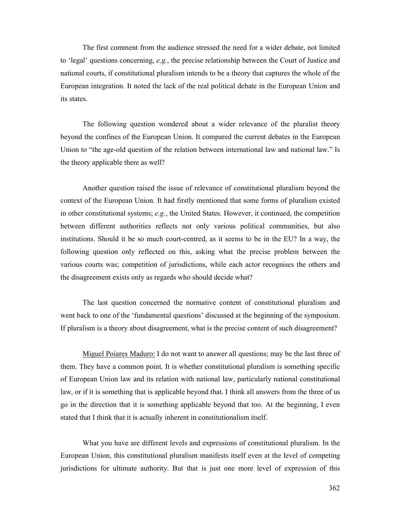The first comment from the audience stressed the need for a wider debate, not limited to 'legal' questions concerning, e.g., the precise relationship between the Court of Justice and national courts, if constitutional pluralism intends to be a theory that captures the whole of the European integration. It noted the lack of the real political debate in the European Union and its states.

The following question wondered about a wider relevance of the pluralist theory beyond the confines of the European Union. It compared the current debates in the European Union to "the age-old question of the relation between international law and national law." Is the theory applicable there as well?

Another question raised the issue of relevance of constitutional pluralism beyond the context of the European Union. It had firstly mentioned that some forms of pluralism existed in other constitutional systems; e.g., the United States. However, it continued, the competition between different authorities reflects not only various political communities, but also institutions. Should it be so much court-centred, as it seems to be in the EU? In a way, the following question only reflected on this, asking what the precise problem between the various courts was; competition of jurisdictions, while each actor recognises the others and the disagreement exists only as regards who should decide what?

The last question concerned the normative content of constitutional pluralism and went back to one of the 'fundamental questions' discussed at the beginning of the symposium. If pluralism is a theory about disagreement, what is the precise content of such disagreement?

Miguel Poiares Maduro: I do not want to answer all questions; may be the last three of them. They have a common point. It is whether constitutional pluralism is something specific of European Union law and its relation with national law, particularly national constitutional law, or if it is something that is applicable beyond that. I think all answers from the three of us go in the direction that it is something applicable beyond that too. At the beginning, I even stated that I think that it is actually inherent in constitutionalism itself.

What you have are different levels and expressions of constitutional pluralism. In the European Union, this constitutional pluralism manifests itself even at the level of competing jurisdictions for ultimate authority. But that is just one more level of expression of this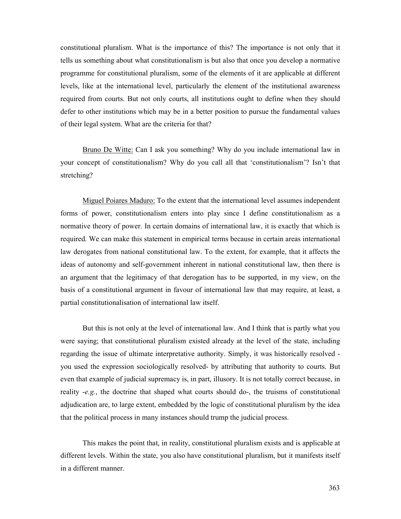constitutional pluralism. What is the importance of this? The importance is not only that it tells us something about what constitutionalism is but also that once you develop a normative programme for constitutional pluralism, some of the elements of it are applicable at different levels, like at the international level, particularly the element of the institutional awareness required from courts. But not only courts, all institutions ought to define when they should defer to other institutions which may be in a better position to pursue the fundamental values of their legal system. What are the criteria for that?

Bruno De Witte: Can I ask you something? Why do you include international law in your concept of constitutionalism? Why do you call all that 'constitutionalism'? Isn't that stretching?

Miguel Poiares Maduro: To the extent that the international level assumes independent forms of power, constitutionalism enters into play since I define constitutionalism as a normative theory of power. In certain domains of international law, it is exactly that which is required. We can make this statement in empirical terms because in certain areas international law derogates from national constitutional law. To the extent, for example, that it affects the ideas of autonomy and self-government inherent in national constitutional law, then there is an argument that the legitimacy of that derogation has to be supported, in my view, on the basis of a constitutional argument in favour of international law that may require, at least, a partial constitutionalisation of international law itself.

But this is not only at the level of international law. And I think that is partly what you were saying; that constitutional pluralism existed already at the level of the state, including regarding the issue of ultimate interpretative authority. Simply, it was historically resolved you used the expression sociologically resolved- by attributing that authority to courts. But even that example of judicial supremacy is, in part, illusory. It is not totally correct because, in reality  $-e.g.,$  the doctrine that shaped what courts should do-, the truisms of constitutional adjudication are, to large extent, embedded by the logic of constitutional pluralism by the idea that the political process in many instances should trump the judicial process.

This makes the point that, in reality, constitutional pluralism exists and is applicable at different levels. Within the state, you also have constitutional pluralism, but it manifests itself in a different manner.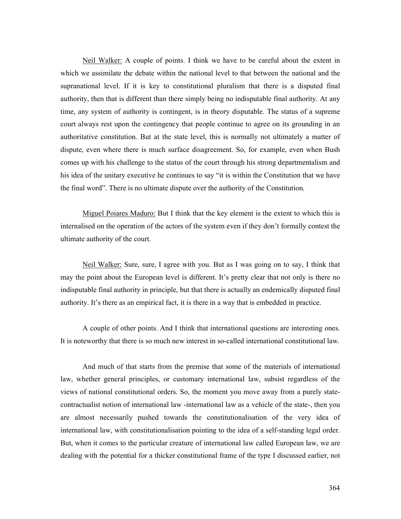Neil Walker: A couple of points. I think we have to be careful about the extent in which we assimilate the debate within the national level to that between the national and the supranational level. If it is key to constitutional pluralism that there is a disputed final authority, then that is different than there simply being no indisputable final authority. At any time, any system of authority is contingent, is in theory disputable. The status of a supreme court always rest upon the contingency that people continue to agree on its grounding in an authoritative constitution. But at the state level, this is normally not ultimately a matter of dispute, even where there is much surface disagreement. So, for example, even when Bush comes up with his challenge to the status of the court through his strong departmentalism and his idea of the unitary executive he continues to say "it is within the Constitution that we have the final word". There is no ultimate dispute over the authority of the Constitution.

Miguel Poiares Maduro: But I think that the key element is the extent to which this is internalised on the operation of the actors of the system even if they don't formally contest the ultimate authority of the court.

Neil Walker: Sure, sure, I agree with you. But as I was going on to say, I think that may the point about the European level is different. It's pretty clear that not only is there no indisputable final authority in principle, but that there is actually an endemically disputed final authority. It's there as an empirical fact, it is there in a way that is embedded in practice.

A couple of other points. And I think that international questions are interesting ones. It is noteworthy that there is so much new interest in so-called international constitutional law.

And much of that starts from the premise that some of the materials of international law, whether general principles, or customary international law, subsist regardless of the views of national constitutional orders. So, the moment you move away from a purely statecontractualist notion of international law -international law as a vehicle of the state-, then you are almost necessarily pushed towards the constitutionalisation of the very idea of international law, with constitutionalisation pointing to the idea of a self-standing legal order. But, when it comes to the particular creature of international law called European law, we are dealing with the potential for a thicker constitutional frame of the type I discussed earlier, not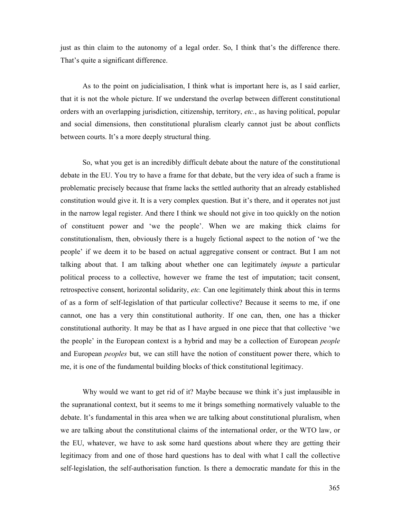just as thin claim to the autonomy of a legal order. So, I think that's the difference there. That's quite a significant difference.

As to the point on judicialisation, I think what is important here is, as I said earlier, that it is not the whole picture. If we understand the overlap between different constitutional orders with an overlapping jurisdiction, citizenship, territory, etc., as having political, popular and social dimensions, then constitutional pluralism clearly cannot just be about conflicts between courts. It's a more deeply structural thing.

So, what you get is an incredibly difficult debate about the nature of the constitutional debate in the EU. You try to have a frame for that debate, but the very idea of such a frame is problematic precisely because that frame lacks the settled authority that an already established constitution would give it. It is a very complex question. But it's there, and it operates not just in the narrow legal register. And there I think we should not give in too quickly on the notion of constituent power and 'we the people'. When we are making thick claims for constitutionalism, then, obviously there is a hugely fictional aspect to the notion of 'we the people' if we deem it to be based on actual aggregative consent or contract. But I am not talking about that. I am talking about whether one can legitimately impute a particular political process to a collective, however we frame the test of imputation; tacit consent, retrospective consent, horizontal solidarity, etc. Can one legitimately think about this in terms of as a form of self-legislation of that particular collective? Because it seems to me, if one cannot, one has a very thin constitutional authority. If one can, then, one has a thicker constitutional authority. It may be that as I have argued in one piece that that collective 'we the people' in the European context is a hybrid and may be a collection of European people and European peoples but, we can still have the notion of constituent power there, which to me, it is one of the fundamental building blocks of thick constitutional legitimacy.

Why would we want to get rid of it? Maybe because we think it's just implausible in the supranational context, but it seems to me it brings something normatively valuable to the debate. It's fundamental in this area when we are talking about constitutional pluralism, when we are talking about the constitutional claims of the international order, or the WTO law, or the EU, whatever, we have to ask some hard questions about where they are getting their legitimacy from and one of those hard questions has to deal with what I call the collective self-legislation, the self-authorisation function. Is there a democratic mandate for this in the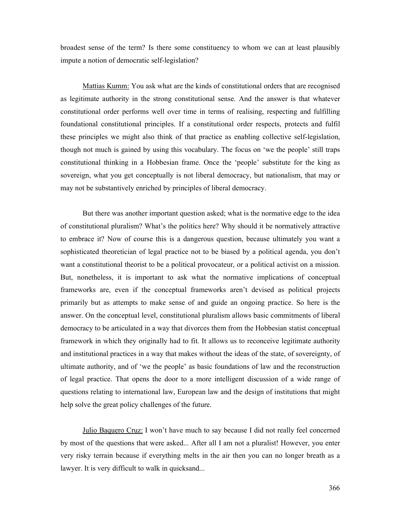broadest sense of the term? Is there some constituency to whom we can at least plausibly impute a notion of democratic self-legislation?

Mattias Kumm: You ask what are the kinds of constitutional orders that are recognised as legitimate authority in the strong constitutional sense. And the answer is that whatever constitutional order performs well over time in terms of realising, respecting and fulfilling foundational constitutional principles. If a constitutional order respects, protects and fulfil these principles we might also think of that practice as enabling collective self-legislation, though not much is gained by using this vocabulary. The focus on 'we the people' still traps constitutional thinking in a Hobbesian frame. Once the 'people' substitute for the king as sovereign, what you get conceptually is not liberal democracy, but nationalism, that may or may not be substantively enriched by principles of liberal democracy.

But there was another important question asked; what is the normative edge to the idea of constitutional pluralism? What's the politics here? Why should it be normatively attractive to embrace it? Now of course this is a dangerous question, because ultimately you want a sophisticated theoretician of legal practice not to be biased by a political agenda, you don't want a constitutional theorist to be a political provocateur, or a political activist on a mission. But, nonetheless, it is important to ask what the normative implications of conceptual frameworks are, even if the conceptual frameworks aren't devised as political projects primarily but as attempts to make sense of and guide an ongoing practice. So here is the answer. On the conceptual level, constitutional pluralism allows basic commitments of liberal democracy to be articulated in a way that divorces them from the Hobbesian statist conceptual framework in which they originally had to fit. It allows us to reconceive legitimate authority and institutional practices in a way that makes without the ideas of the state, of sovereignty, of ultimate authority, and of 'we the people' as basic foundations of law and the reconstruction of legal practice. That opens the door to a more intelligent discussion of a wide range of questions relating to international law, European law and the design of institutions that might help solve the great policy challenges of the future.

Julio Baquero Cruz: I won't have much to say because I did not really feel concerned by most of the questions that were asked... After all I am not a pluralist! However, you enter very risky terrain because if everything melts in the air then you can no longer breath as a lawyer. It is very difficult to walk in quicksand...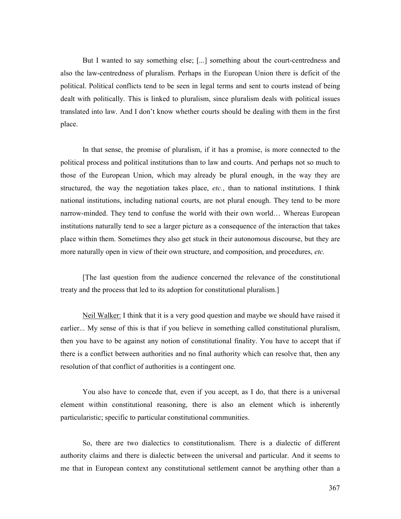But I wanted to say something else; [...] something about the court-centredness and also the law-centredness of pluralism. Perhaps in the European Union there is deficit of the political. Political conflicts tend to be seen in legal terms and sent to courts instead of being dealt with politically. This is linked to pluralism, since pluralism deals with political issues translated into law. And I don't know whether courts should be dealing with them in the first place.

In that sense, the promise of pluralism, if it has a promise, is more connected to the political process and political institutions than to law and courts. And perhaps not so much to those of the European Union, which may already be plural enough, in the way they are structured, the way the negotiation takes place, *etc.*, than to national institutions. I think national institutions, including national courts, are not plural enough. They tend to be more narrow-minded. They tend to confuse the world with their own world… Whereas European institutions naturally tend to see a larger picture as a consequence of the interaction that takes place within them. Sometimes they also get stuck in their autonomous discourse, but they are more naturally open in view of their own structure, and composition, and procedures, etc.

[The last question from the audience concerned the relevance of the constitutional treaty and the process that led to its adoption for constitutional pluralism.]

Neil Walker: I think that it is a very good question and maybe we should have raised it earlier... My sense of this is that if you believe in something called constitutional pluralism, then you have to be against any notion of constitutional finality. You have to accept that if there is a conflict between authorities and no final authority which can resolve that, then any resolution of that conflict of authorities is a contingent one.

You also have to concede that, even if you accept, as I do, that there is a universal element within constitutional reasoning, there is also an element which is inherently particularistic; specific to particular constitutional communities.

So, there are two dialectics to constitutionalism. There is a dialectic of different authority claims and there is dialectic between the universal and particular. And it seems to me that in European context any constitutional settlement cannot be anything other than a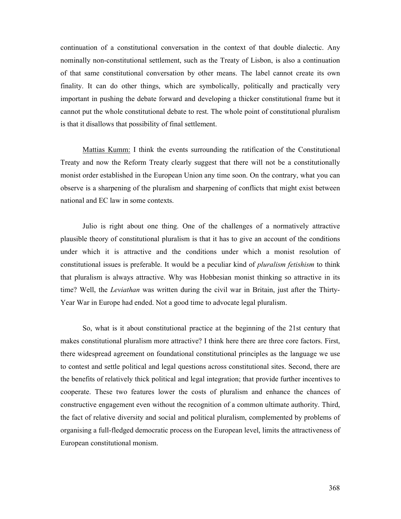continuation of a constitutional conversation in the context of that double dialectic. Any nominally non-constitutional settlement, such as the Treaty of Lisbon, is also a continuation of that same constitutional conversation by other means. The label cannot create its own finality. It can do other things, which are symbolically, politically and practically very important in pushing the debate forward and developing a thicker constitutional frame but it cannot put the whole constitutional debate to rest. The whole point of constitutional pluralism is that it disallows that possibility of final settlement.

Mattias Kumm: I think the events surrounding the ratification of the Constitutional Treaty and now the Reform Treaty clearly suggest that there will not be a constitutionally monist order established in the European Union any time soon. On the contrary, what you can observe is a sharpening of the pluralism and sharpening of conflicts that might exist between national and EC law in some contexts.

Julio is right about one thing. One of the challenges of a normatively attractive plausible theory of constitutional pluralism is that it has to give an account of the conditions under which it is attractive and the conditions under which a monist resolution of constitutional issues is preferable. It would be a peculiar kind of pluralism fetishism to think that pluralism is always attractive. Why was Hobbesian monist thinking so attractive in its time? Well, the *Leviathan* was written during the civil war in Britain, just after the Thirty-Year War in Europe had ended. Not a good time to advocate legal pluralism.

So, what is it about constitutional practice at the beginning of the 21st century that makes constitutional pluralism more attractive? I think here there are three core factors. First, there widespread agreement on foundational constitutional principles as the language we use to contest and settle political and legal questions across constitutional sites. Second, there are the benefits of relatively thick political and legal integration; that provide further incentives to cooperate. These two features lower the costs of pluralism and enhance the chances of constructive engagement even without the recognition of a common ultimate authority. Third, the fact of relative diversity and social and political pluralism, complemented by problems of organising a full-fledged democratic process on the European level, limits the attractiveness of European constitutional monism.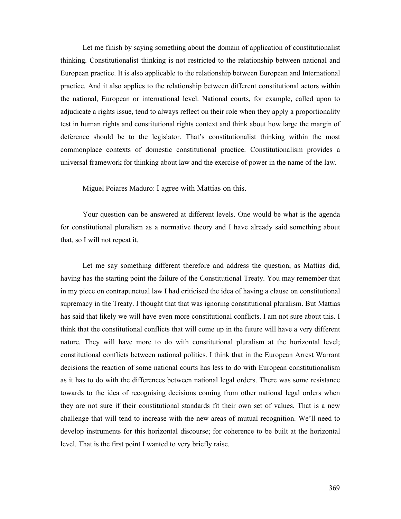Let me finish by saying something about the domain of application of constitutionalist thinking. Constitutionalist thinking is not restricted to the relationship between national and European practice. It is also applicable to the relationship between European and International practice. And it also applies to the relationship between different constitutional actors within the national, European or international level. National courts, for example, called upon to adjudicate a rights issue, tend to always reflect on their role when they apply a proportionality test in human rights and constitutional rights context and think about how large the margin of deference should be to the legislator. That's constitutionalist thinking within the most commonplace contexts of domestic constitutional practice. Constitutionalism provides a universal framework for thinking about law and the exercise of power in the name of the law.

## Miguel Poiares Maduro: I agree with Mattias on this.

Your question can be answered at different levels. One would be what is the agenda for constitutional pluralism as a normative theory and I have already said something about that, so I will not repeat it.

Let me say something different therefore and address the question, as Mattias did, having has the starting point the failure of the Constitutional Treaty. You may remember that in my piece on contrapunctual law I had criticised the idea of having a clause on constitutional supremacy in the Treaty. I thought that that was ignoring constitutional pluralism. But Mattias has said that likely we will have even more constitutional conflicts. I am not sure about this. I think that the constitutional conflicts that will come up in the future will have a very different nature. They will have more to do with constitutional pluralism at the horizontal level; constitutional conflicts between national polities. I think that in the European Arrest Warrant decisions the reaction of some national courts has less to do with European constitutionalism as it has to do with the differences between national legal orders. There was some resistance towards to the idea of recognising decisions coming from other national legal orders when they are not sure if their constitutional standards fit their own set of values. That is a new challenge that will tend to increase with the new areas of mutual recognition. We'll need to develop instruments for this horizontal discourse; for coherence to be built at the horizontal level. That is the first point I wanted to very briefly raise.